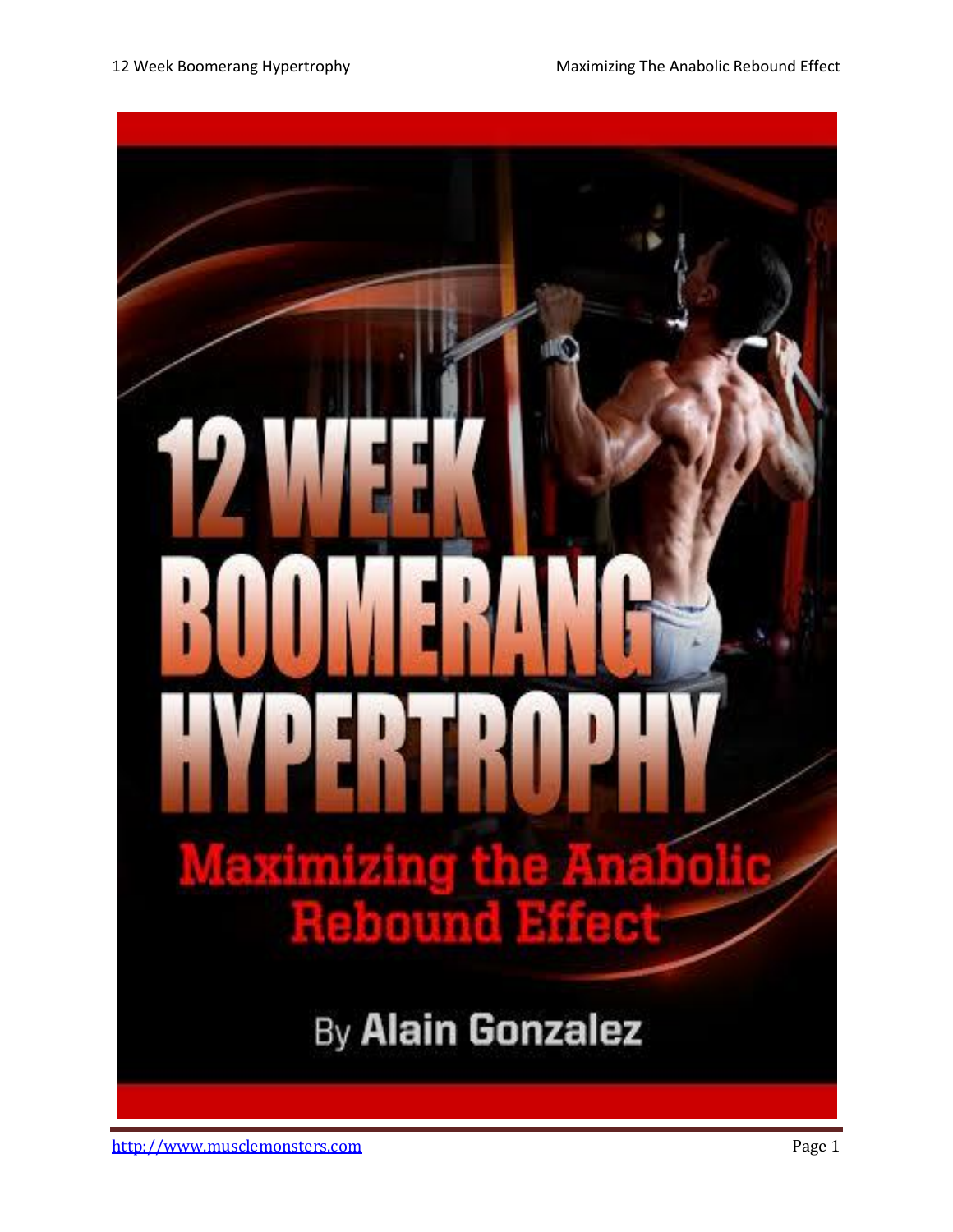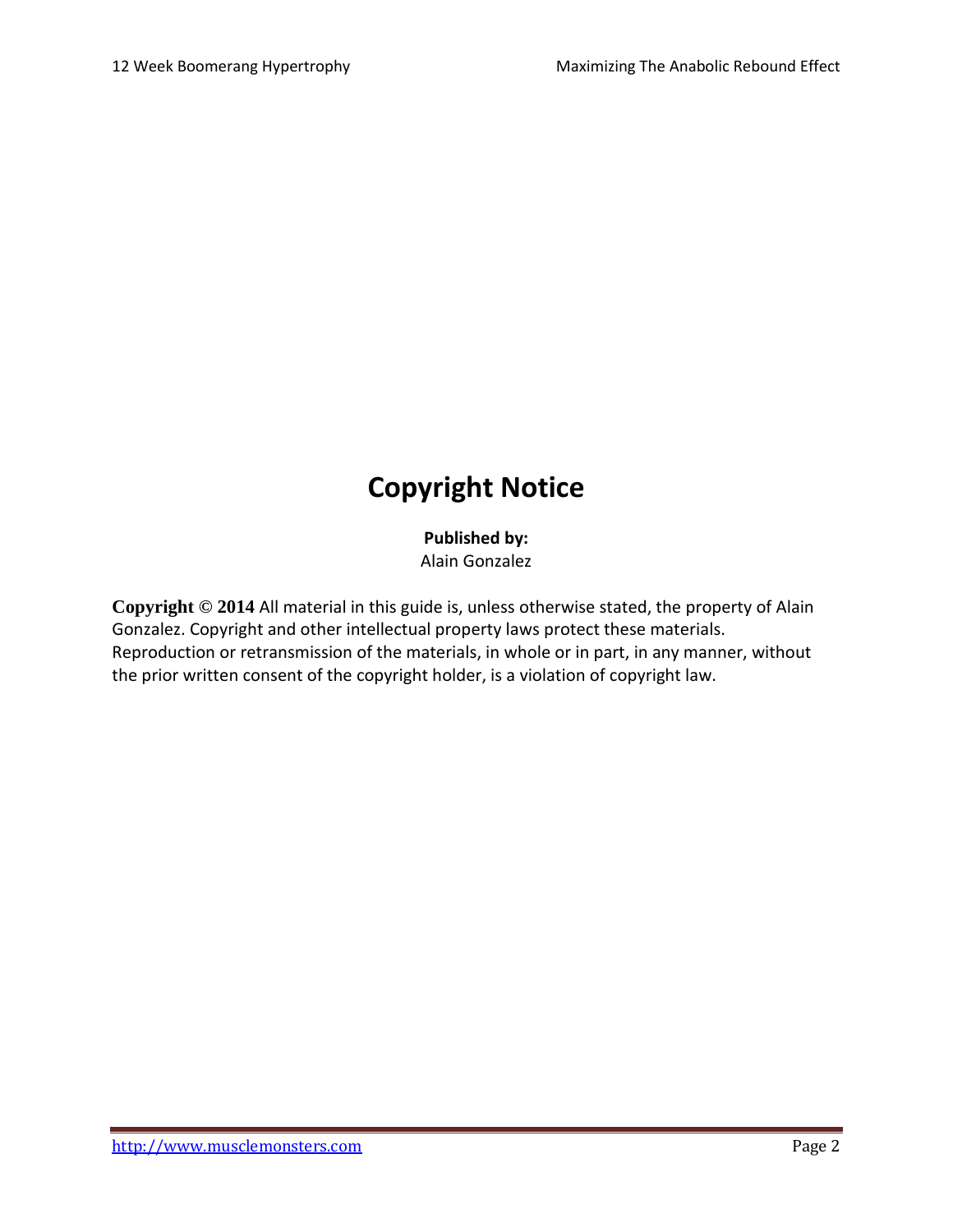## **Copyright Notice**

**Published by:**

Alain Gonzalez

**Copyright © 2014** All material in this guide is, unless otherwise stated, the property of Alain Gonzalez. Copyright and other intellectual property laws protect these materials. Reproduction or retransmission of the materials, in whole or in part, in any manner, without the prior written consent of the copyright holder, is a violation of copyright law.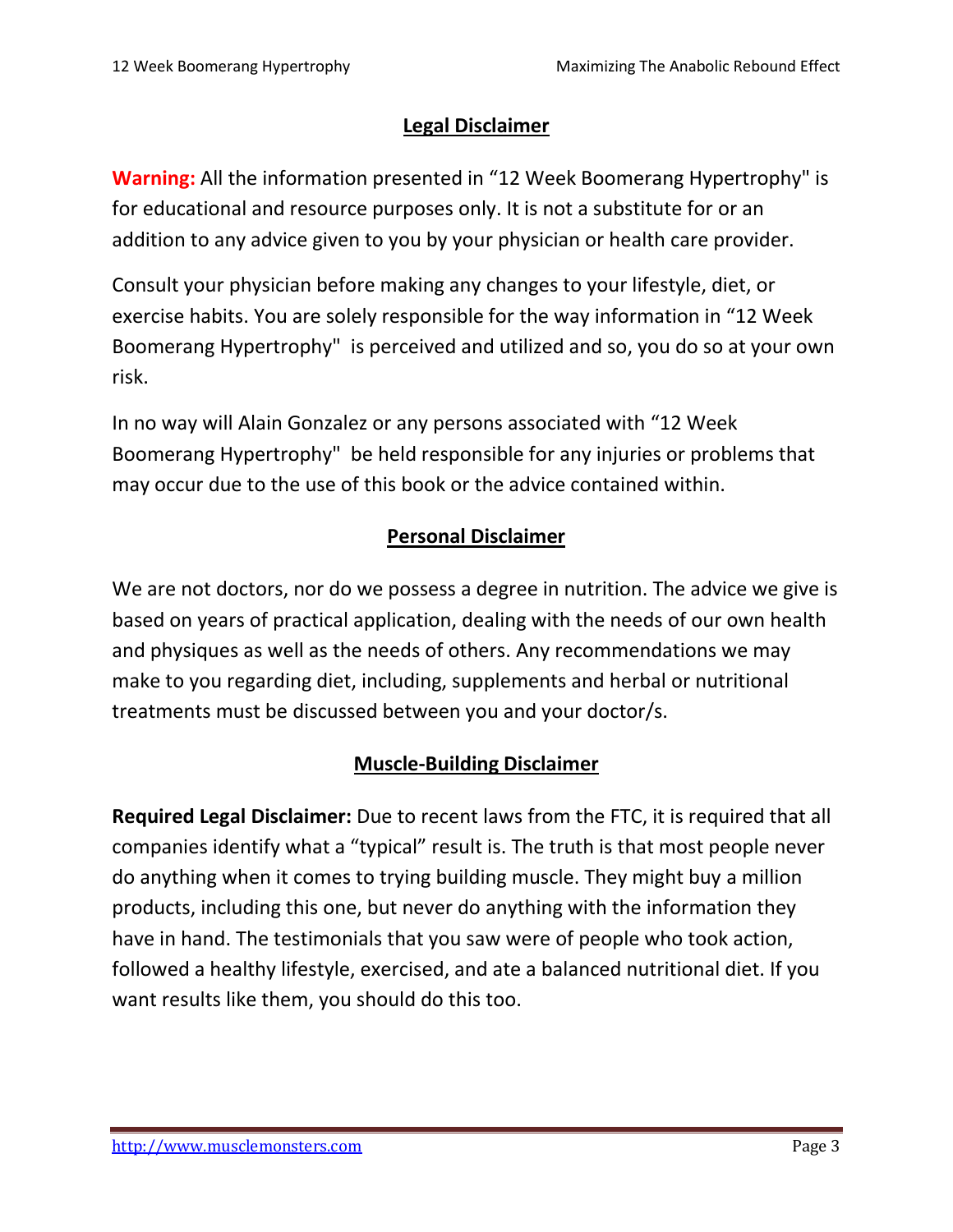#### **Legal Disclaimer**

**Warning:** All the information presented in "12 Week Boomerang Hypertrophy" is for educational and resource purposes only. It is not a substitute for or an addition to any advice given to you by your physician or health care provider.

Consult your physician before making any changes to your lifestyle, diet, or exercise habits. You are solely responsible for the way information in "12 Week Boomerang Hypertrophy" is perceived and utilized and so, you do so at your own risk.

In no way will Alain Gonzalez or any persons associated with "12 Week Boomerang Hypertrophy" be held responsible for any injuries or problems that may occur due to the use of this book or the advice contained within.

#### **Personal Disclaimer**

We are not doctors, nor do we possess a degree in nutrition. The advice we give is based on years of practical application, dealing with the needs of our own health and physiques as well as the needs of others. Any recommendations we may make to you regarding diet, including, supplements and herbal or nutritional treatments must be discussed between you and your doctor/s.

#### **Muscle-Building Disclaimer**

**Required Legal Disclaimer:** Due to recent laws from the FTC, it is required that all companies identify what a "typical" result is. The truth is that most people never do anything when it comes to trying building muscle. They might buy a million products, including this one, but never do anything with the information they have in hand. The testimonials that you saw were of people who took action, followed a healthy lifestyle, exercised, and ate a balanced nutritional diet. If you want results like them, you should do this too.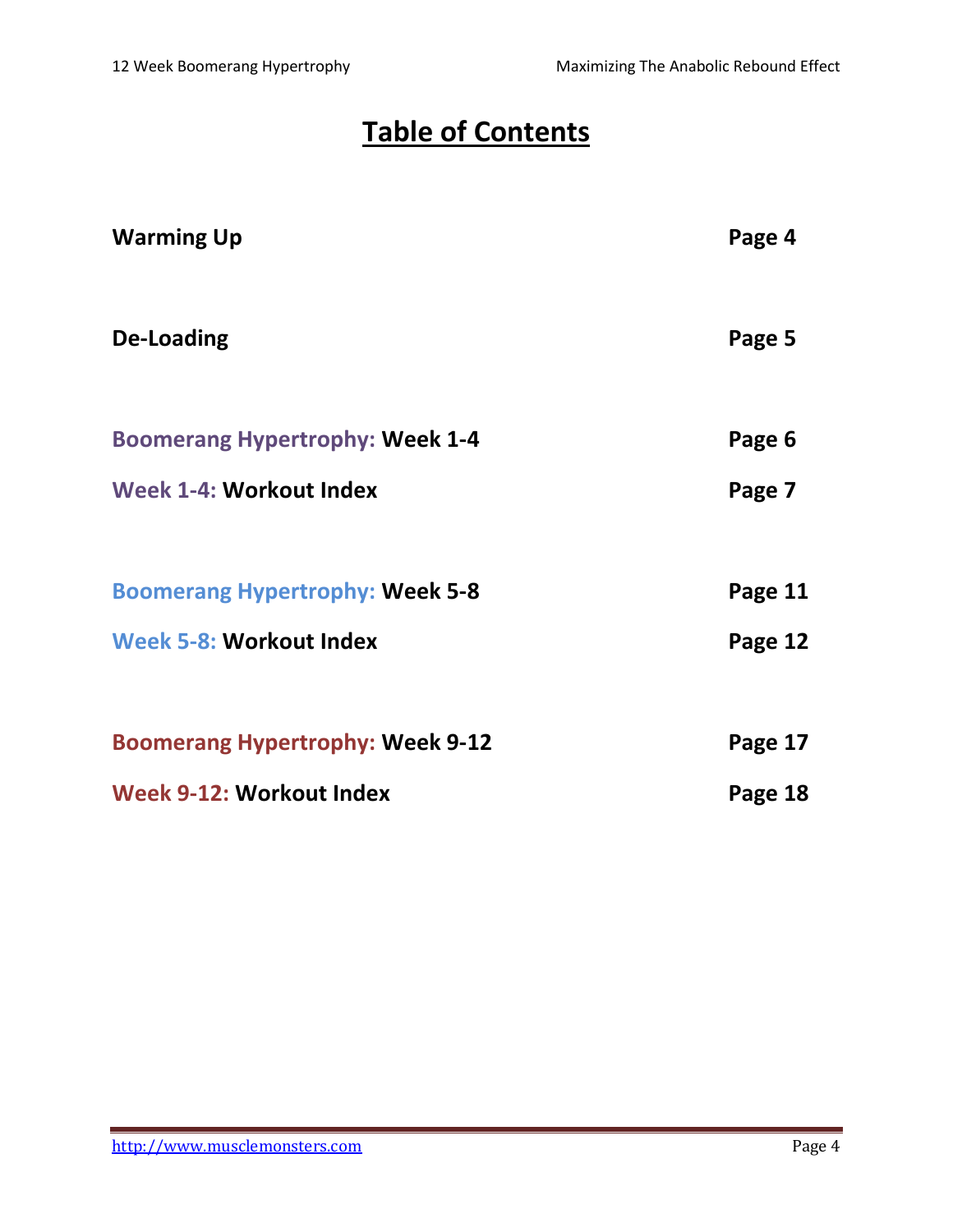## **Table of Contents**

| <b>Warming Up</b>                       | Page 4  |
|-----------------------------------------|---------|
| De-Loading                              | Page 5  |
| <b>Boomerang Hypertrophy: Week 1-4</b>  | Page 6  |
| Week 1-4: Workout Index                 | Page 7  |
| <b>Boomerang Hypertrophy: Week 5-8</b>  | Page 11 |
| Week 5-8: Workout Index                 | Page 12 |
| <b>Boomerang Hypertrophy: Week 9-12</b> | Page 17 |
| Week 9-12: Workout Index                | Page 18 |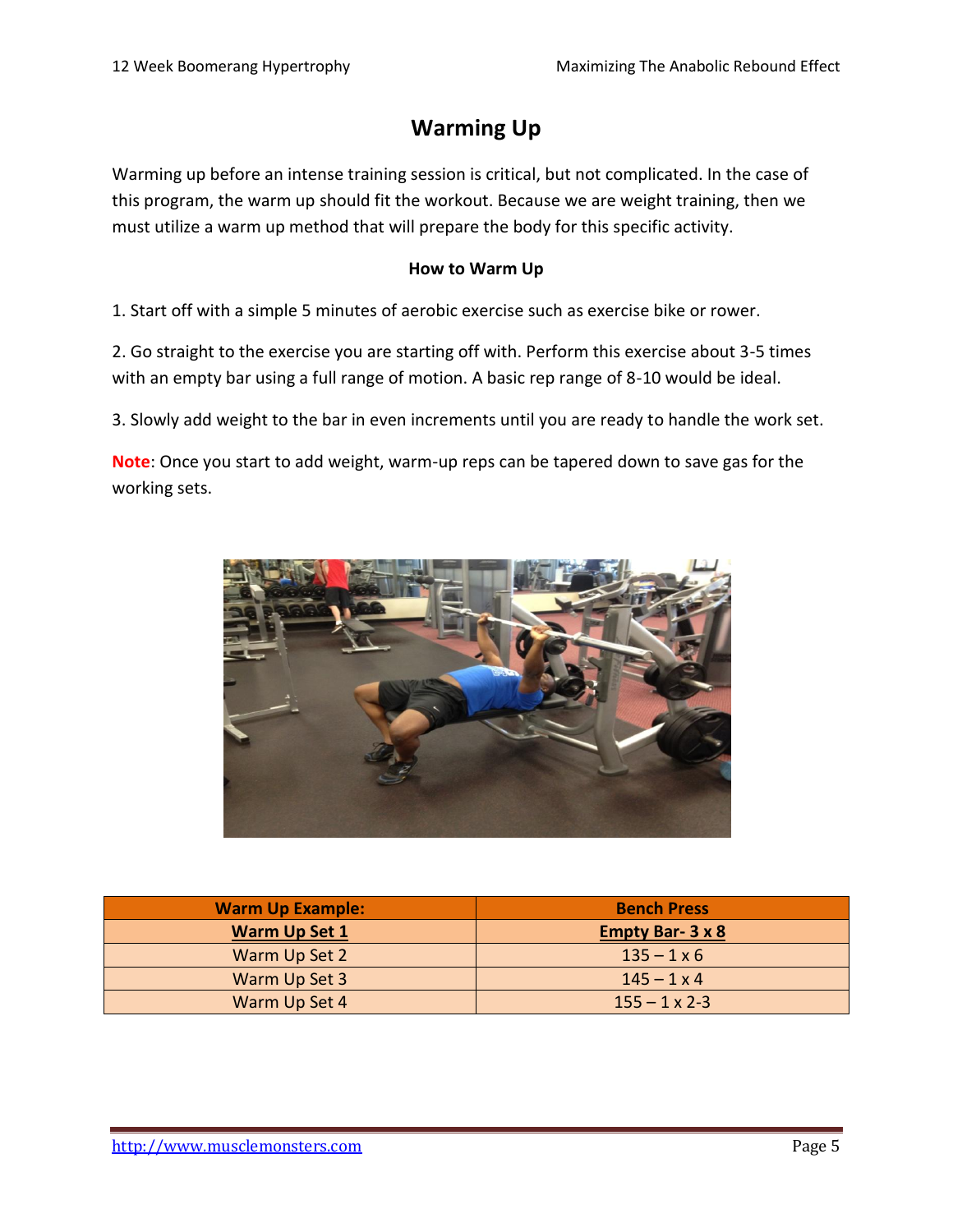#### **Warming Up**

Warming up before an intense training session is critical, but not complicated. In the case of this program, the warm up should fit the workout. Because we are weight training, then we must utilize a warm up method that will prepare the body for this specific activity.

#### **How to Warm Up**

1. Start off with a simple 5 minutes of aerobic exercise such as exercise bike or rower.

2. Go straight to the exercise you are starting off with. Perform this exercise about 3-5 times with an empty bar using a full range of motion. A basic rep range of 8-10 would be ideal.

3. Slowly add weight to the bar in even increments until you are ready to handle the work set.

**Note**: Once you start to add weight, warm-up reps can be tapered down to save gas for the working sets.



| <b>Warm Up Example:</b> | <b>Bench Press</b>     |
|-------------------------|------------------------|
| <b>Warm Up Set 1</b>    | <b>Empty Bar-3 x 8</b> |
| Warm Up Set 2           | $135 - 1 \times 6$     |
| Warm Up Set 3           | $145 - 1 \times 4$     |
| Warm Up Set 4           | $155 - 1 \times 2 - 3$ |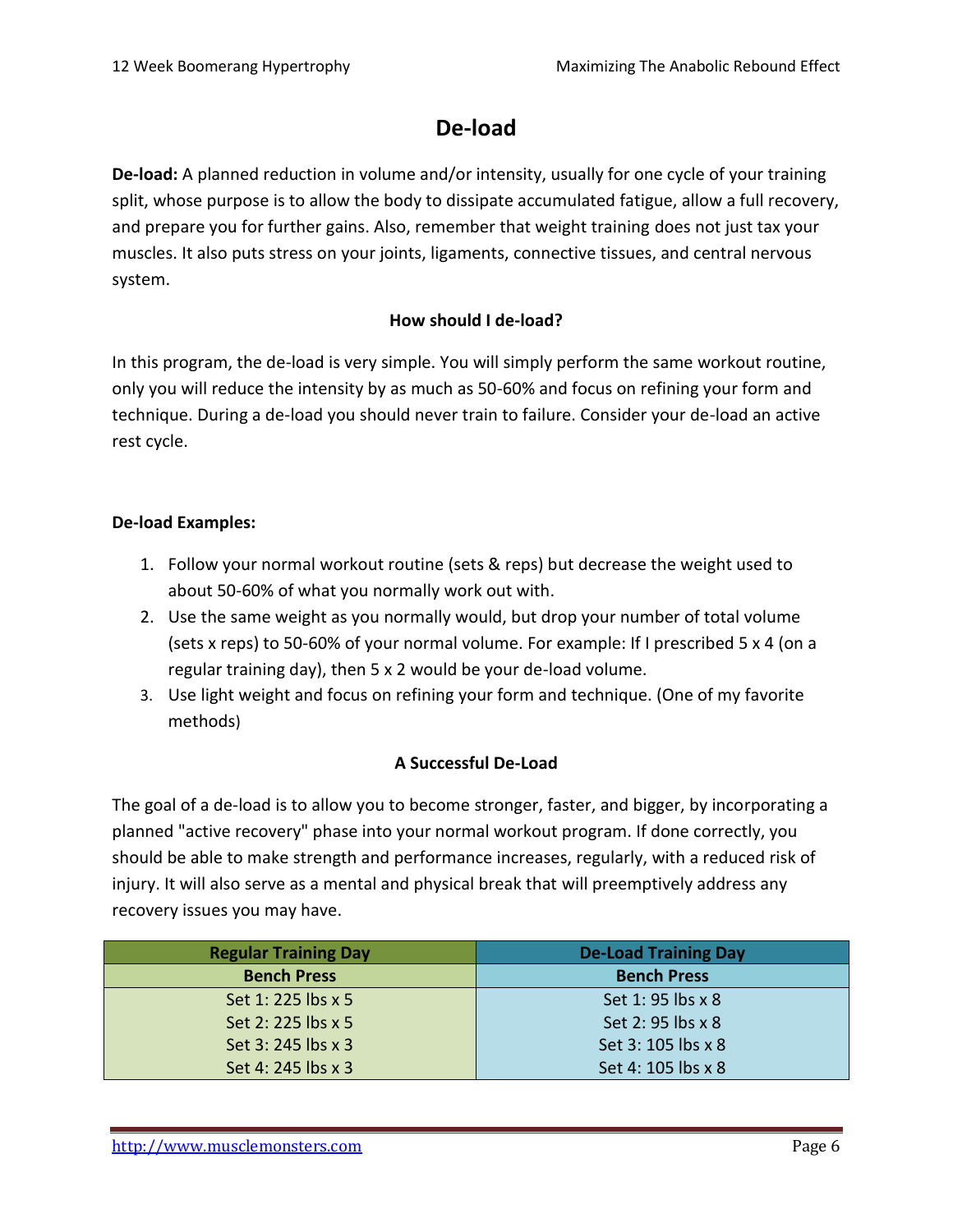#### **De-load**

**De-load:** A planned reduction in volume and/or intensity, usually for one cycle of your training split, whose purpose is to allow the body to dissipate accumulated fatigue, allow a full recovery, and prepare you for further gains. Also, remember that weight training does not just tax your muscles. It also puts stress on your joints, ligaments, connective tissues, and central nervous system.

#### **How should I de-load?**

In this program, the de-load is very simple. You will simply perform the same workout routine, only you will reduce the intensity by as much as 50-60% and focus on refining your form and technique. During a de-load you should never train to failure. Consider your de-load an active rest cycle.

#### **De-load Examples:**

- 1. Follow your normal workout routine (sets & reps) but decrease the weight used to about 50-60% of what you normally work out with.
- 2. Use the same weight as you normally would, but drop your number of total volume (sets x reps) to 50-60% of your normal volume. For example: If I prescribed 5 x 4 (on a regular training day), then 5 x 2 would be your de-load volume.
- 3. Use light weight and focus on refining your form and technique. (One of my favorite methods)

#### **A Successful De-Load**

The goal of a de-load is to allow you to become stronger, faster, and bigger, by incorporating a planned "active recovery" phase into your normal workout program. If done correctly, you should be able to make strength and performance increases, regularly, with a reduced risk of injury. It will also serve as a mental and physical break that will preemptively address any recovery issues you may have.

| <b>Regular Training Day</b> | <b>De-Load Training Day</b> |
|-----------------------------|-----------------------------|
| <b>Bench Press</b>          | <b>Bench Press</b>          |
| Set 1: 225 lbs x 5          | Set 1: 95 lbs x 8           |
| Set 2: 225 lbs x 5          | Set 2: 95 lbs x 8           |
| Set 3: 245 lbs x 3          | Set 3: 105 lbs x 8          |
| Set 4: 245 lbs x 3          | Set 4: 105 lbs x 8          |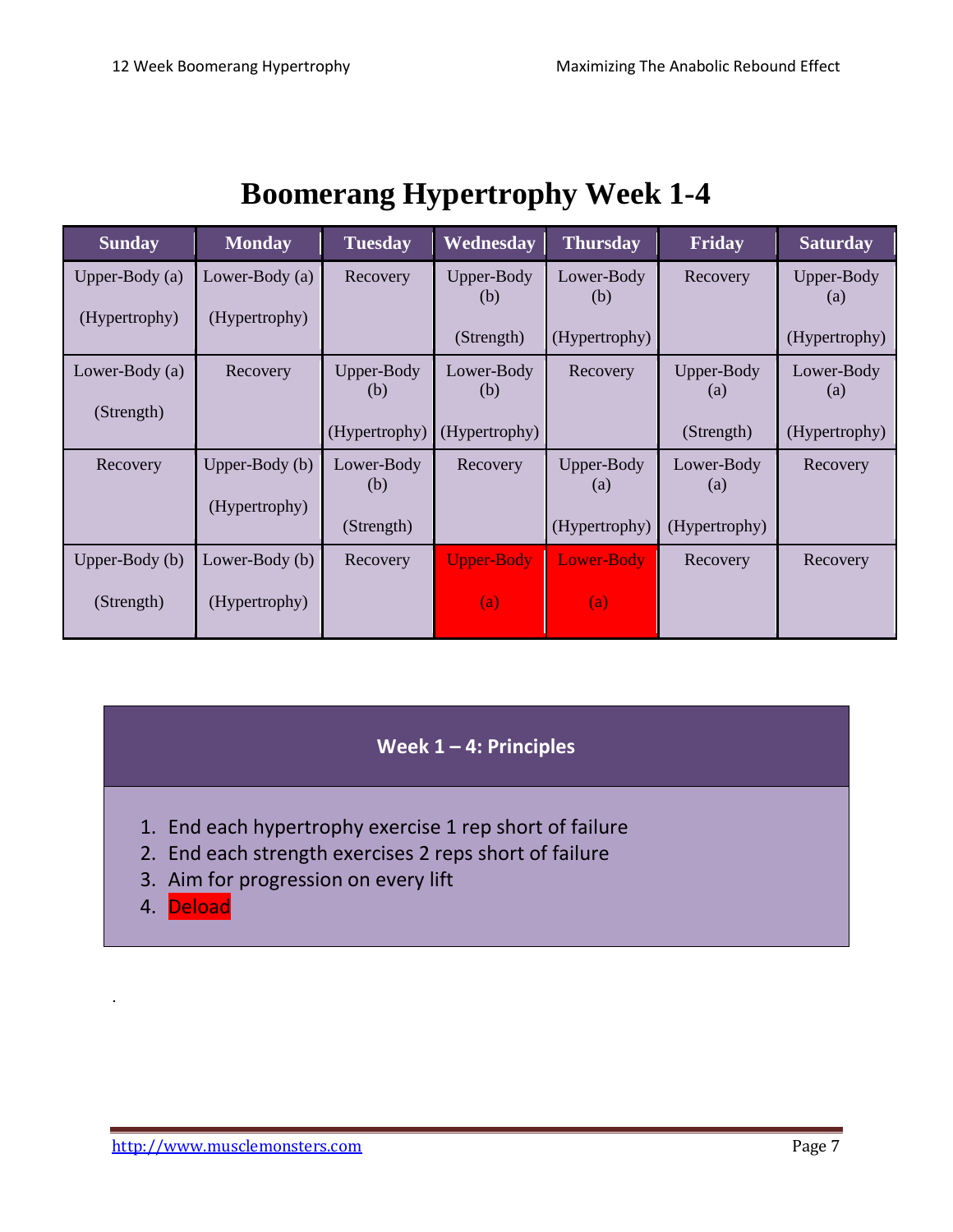# **Boomerang Hypertrophy Week 1-4**

| <b>Sunday</b>    | <b>Monday</b>    | <b>Tuesday</b>    | Wednesday         | <b>Thursday</b>                 | Friday            | <b>Saturday</b>   |
|------------------|------------------|-------------------|-------------------|---------------------------------|-------------------|-------------------|
| Upper-Body $(a)$ | Lower-Body (a)   | Recovery          | Upper-Body<br>(b) | Lower-Body<br>(b)               | Recovery          | Upper-Body<br>(a) |
| (Hypertrophy)    | (Hypertrophy)    |                   |                   |                                 |                   |                   |
|                  |                  |                   | (Strength)        | (Hypertrophy)                   |                   | (Hypertrophy)     |
| Lower-Body (a)   | Recovery         | Upper-Body        | Lower-Body        | Recovery                        | Upper-Body        | Lower-Body        |
|                  |                  | (b)               | (b)               |                                 | (a)               | $\left( a\right)$ |
| (Strength)       |                  | (Hypertrophy)     | (Hypertrophy)     |                                 | (Strength)        | (Hypertrophy)     |
|                  |                  |                   |                   |                                 |                   |                   |
| Recovery         | Upper-Body $(b)$ | Lower-Body<br>(b) | Recovery          | Upper-Body<br>$\left( a\right)$ | Lower-Body<br>(a) | Recovery          |
|                  | (Hypertrophy)    |                   |                   |                                 |                   |                   |
|                  |                  | (Strength)        |                   | (Hypertrophy)                   | (Hypertrophy)     |                   |
| Upper-Body (b)   | Lower-Body (b)   | Recovery          | <b>Upper-Body</b> | Lower-Body                      | Recovery          | Recovery          |
| (Strength)       | (Hypertrophy)    |                   | (a)               | (a)                             |                   |                   |

#### **Week 1 – 4: Principles**

- 1. End each hypertrophy exercise 1 rep short of failure
- 2. End each strength exercises 2 reps short of failure
- 3. Aim for progression on every lift
- 4. Deload

.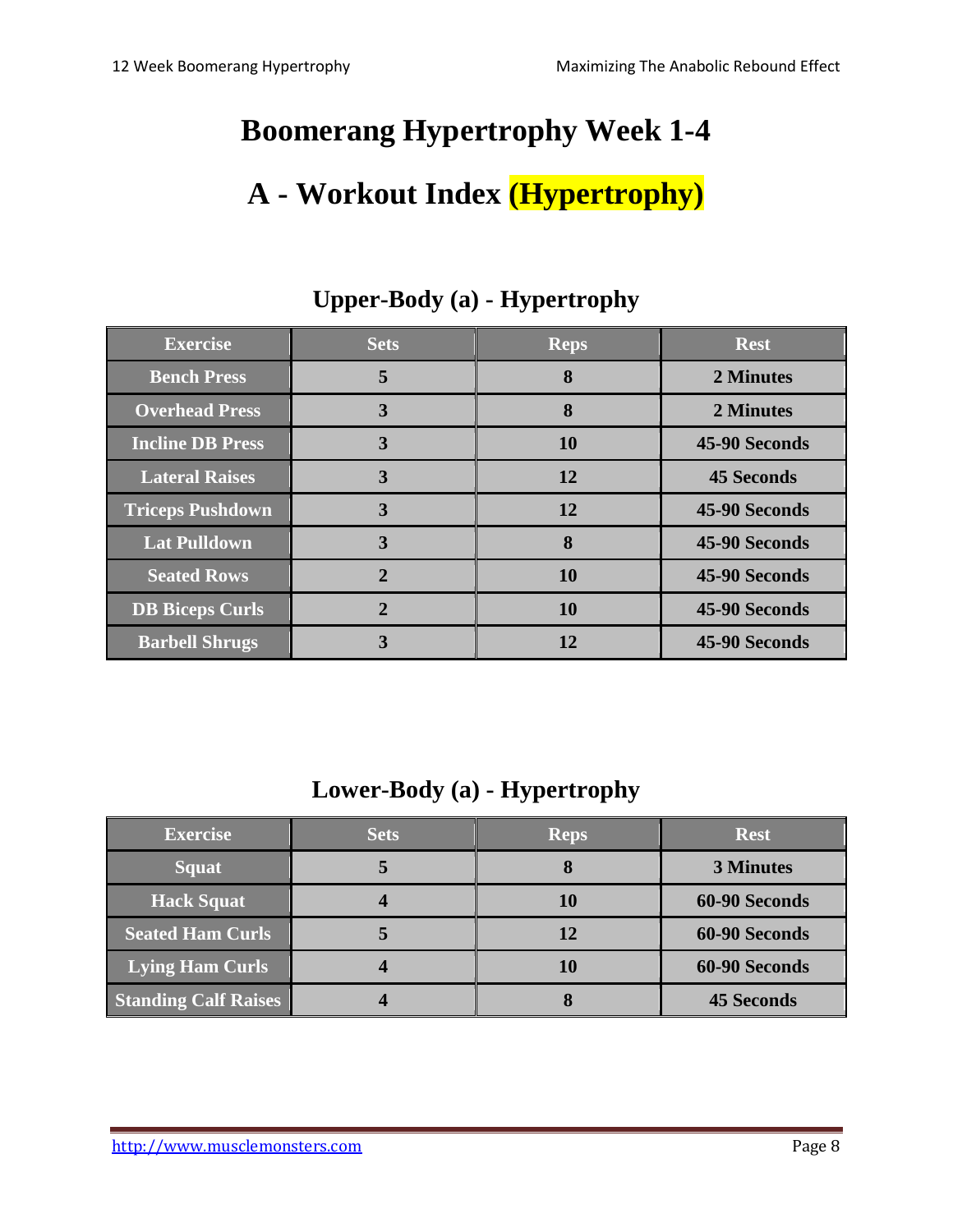# **Boomerang Hypertrophy Week 1-4 A - Workout Index (Hypertrophy)**

| <b>Exercise</b>         | <b>Sets</b>  | <b>Reps</b> | <b>Rest</b>       |
|-------------------------|--------------|-------------|-------------------|
| <b>Bench Press</b>      | 5            | 8           | 2 Minutes         |
| <b>Overhead Press</b>   | 3            | 8           | 2 Minutes         |
| <b>Incline DB Press</b> | 3            | 10          | 45-90 Seconds     |
| <b>Lateral Raises</b>   | 3            | <b>12</b>   | <b>45 Seconds</b> |
| <b>Triceps Pushdown</b> | 3            | 12          | 45-90 Seconds     |
| <b>Lat Pulldown</b>     | 3            | 8           | 45-90 Seconds     |
| <b>Seated Rows</b>      | $\mathbf{2}$ | <b>10</b>   | 45-90 Seconds     |
| <b>DB Biceps Curls</b>  |              | <b>10</b>   | 45-90 Seconds     |
| <b>Barbell Shrugs</b>   | 3            | 12          | 45-90 Seconds     |

#### **Upper-Body (a) - Hypertrophy**

**Lower-Body (a) - Hypertrophy**

| <b>Exercise</b>             | <b>Sets</b> | <b>Reps</b> | <b>Rest</b>       |
|-----------------------------|-------------|-------------|-------------------|
| <b>Squat</b>                |             |             | <b>3 Minutes</b>  |
| <b>Hack Squat</b>           |             | 10          | 60-90 Seconds     |
| <b>Seated Ham Curls</b>     |             | 12          | 60-90 Seconds     |
| <b>Lying Ham Curls</b>      |             | 10          | 60-90 Seconds     |
| <b>Standing Calf Raises</b> |             |             | <b>45 Seconds</b> |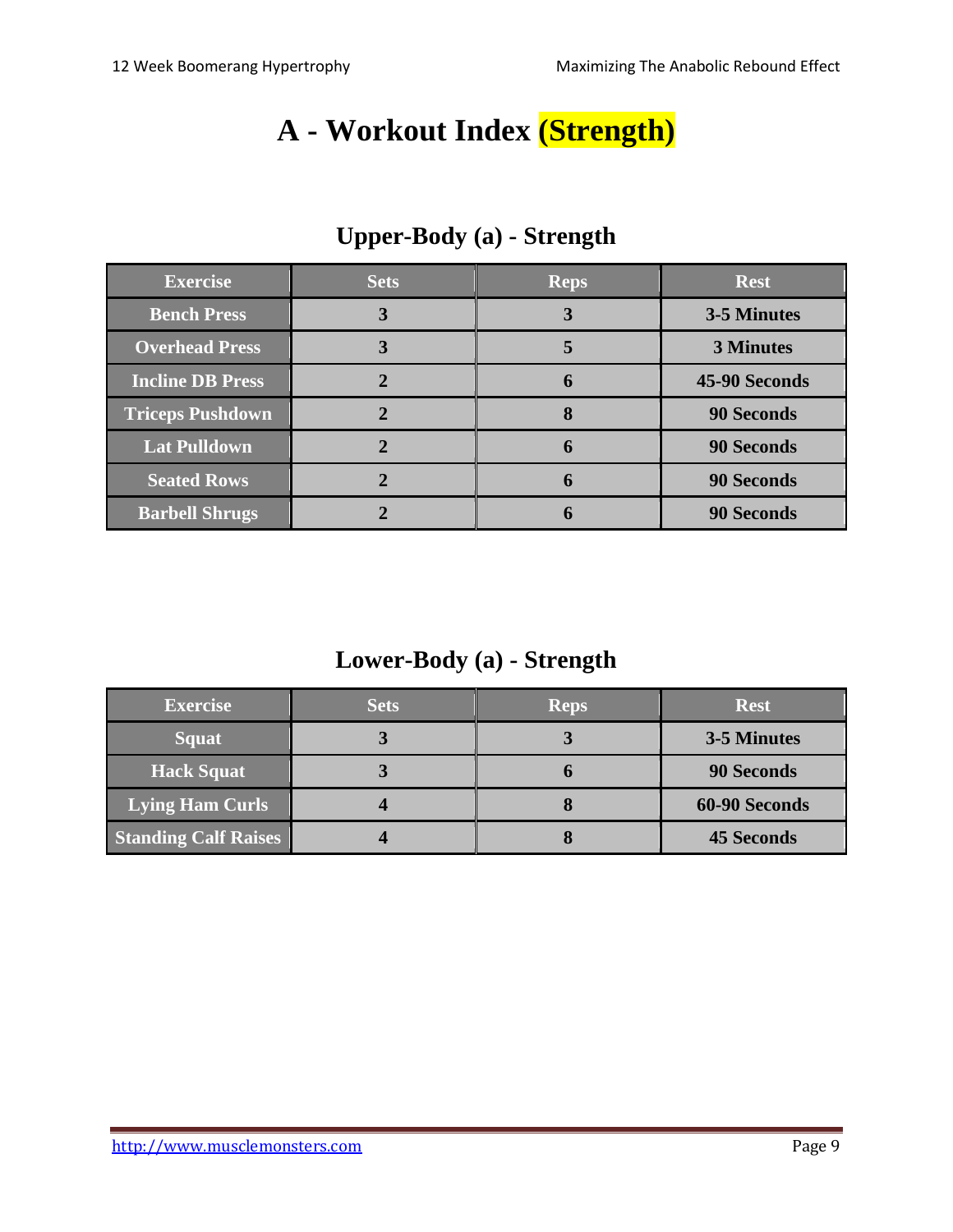## **A - Workout Index (Strength)**

| <b>Exercise</b>         | <b>Sets</b> | <b>Reps</b> | <b>Rest</b>       |
|-------------------------|-------------|-------------|-------------------|
| <b>Bench Press</b>      | 3           | 3           | 3-5 Minutes       |
| <b>Overhead Press</b>   |             | 5           | <b>3 Minutes</b>  |
| <b>Incline DB Press</b> |             | 6           | 45-90 Seconds     |
| <b>Triceps Pushdown</b> |             | 8           | <b>90 Seconds</b> |
| <b>Lat Pulldown</b>     |             | 6           | <b>90 Seconds</b> |
| <b>Seated Rows</b>      |             | 6           | <b>90 Seconds</b> |
| <b>Barbell Shrugs</b>   |             |             | <b>90 Seconds</b> |

## **Upper-Body (a) - Strength**

#### **Lower-Body (a) - Strength**

| <b>Exercise</b>             | <b>Sets</b> | <b>Reps</b> | <b>Rest</b>       |
|-----------------------------|-------------|-------------|-------------------|
| <b>Squat</b>                |             | J           | 3-5 Minutes       |
| <b>Hack Squat</b>           |             |             | <b>90 Seconds</b> |
| <b>Lying Ham Curls</b>      |             |             | 60-90 Seconds     |
| <b>Standing Calf Raises</b> |             |             | <b>45 Seconds</b> |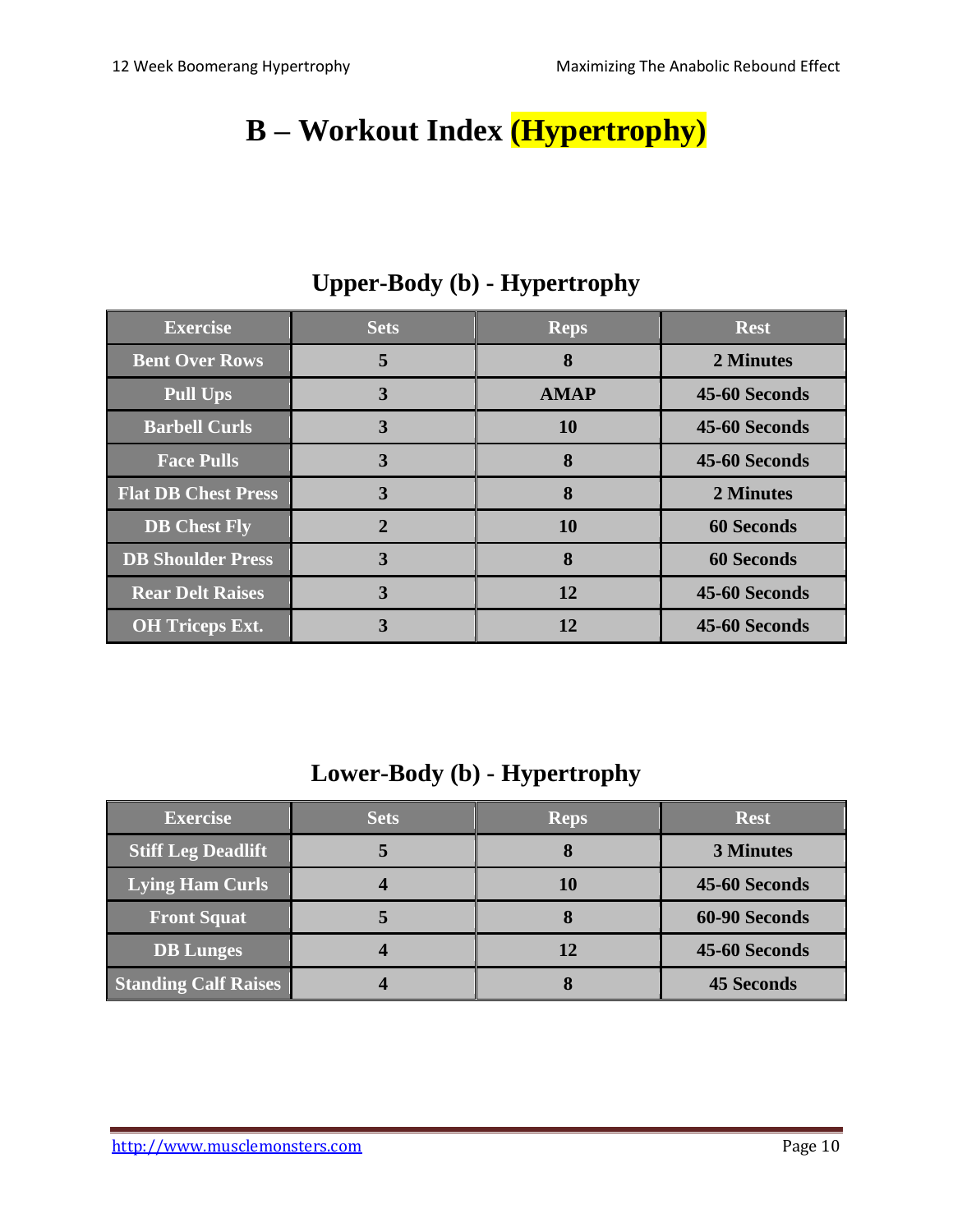# **B – Workout Index (Hypertrophy)**

| <b>Exercise</b>            | <b>Sets</b>  | <b>Reps</b> | <b>Rest</b>       |
|----------------------------|--------------|-------------|-------------------|
| <b>Bent Over Rows</b>      | 5            | 8           | 2 Minutes         |
| <b>Pull Ups</b>            | 3            | <b>AMAP</b> | 45-60 Seconds     |
| <b>Barbell Curls</b>       | 3            | <b>10</b>   | 45-60 Seconds     |
| <b>Face Pulls</b>          | 3            | 8           | 45-60 Seconds     |
| <b>Flat DB Chest Press</b> | 3            | 8           | 2 Minutes         |
| <b>DB</b> Chest Fly        | $\mathbf{2}$ | <b>10</b>   | <b>60 Seconds</b> |
| <b>DB Shoulder Press</b>   | 3            | 8           | <b>60 Seconds</b> |
| <b>Rear Delt Raises</b>    | 3            | 12          | 45-60 Seconds     |
| <b>OH</b> Triceps Ext.     | 3            | 12          | 45-60 Seconds     |

## **Upper-Body (b) - Hypertrophy**

#### **Lower-Body (b) - Hypertrophy**

| <b>Exercise</b>             | <b>Sets</b> | <b>Reps</b> | <b>Rest</b>       |
|-----------------------------|-------------|-------------|-------------------|
| <b>Stiff Leg Deadlift</b>   |             | O           | <b>3 Minutes</b>  |
| Lying Ham Curls             |             | 10          | 45-60 Seconds     |
| <b>Front Squat</b>          |             |             | 60-90 Seconds     |
| <b>DB</b> Lunges            |             | 12          | 45-60 Seconds     |
| <b>Standing Calf Raises</b> |             | O           | <b>45 Seconds</b> |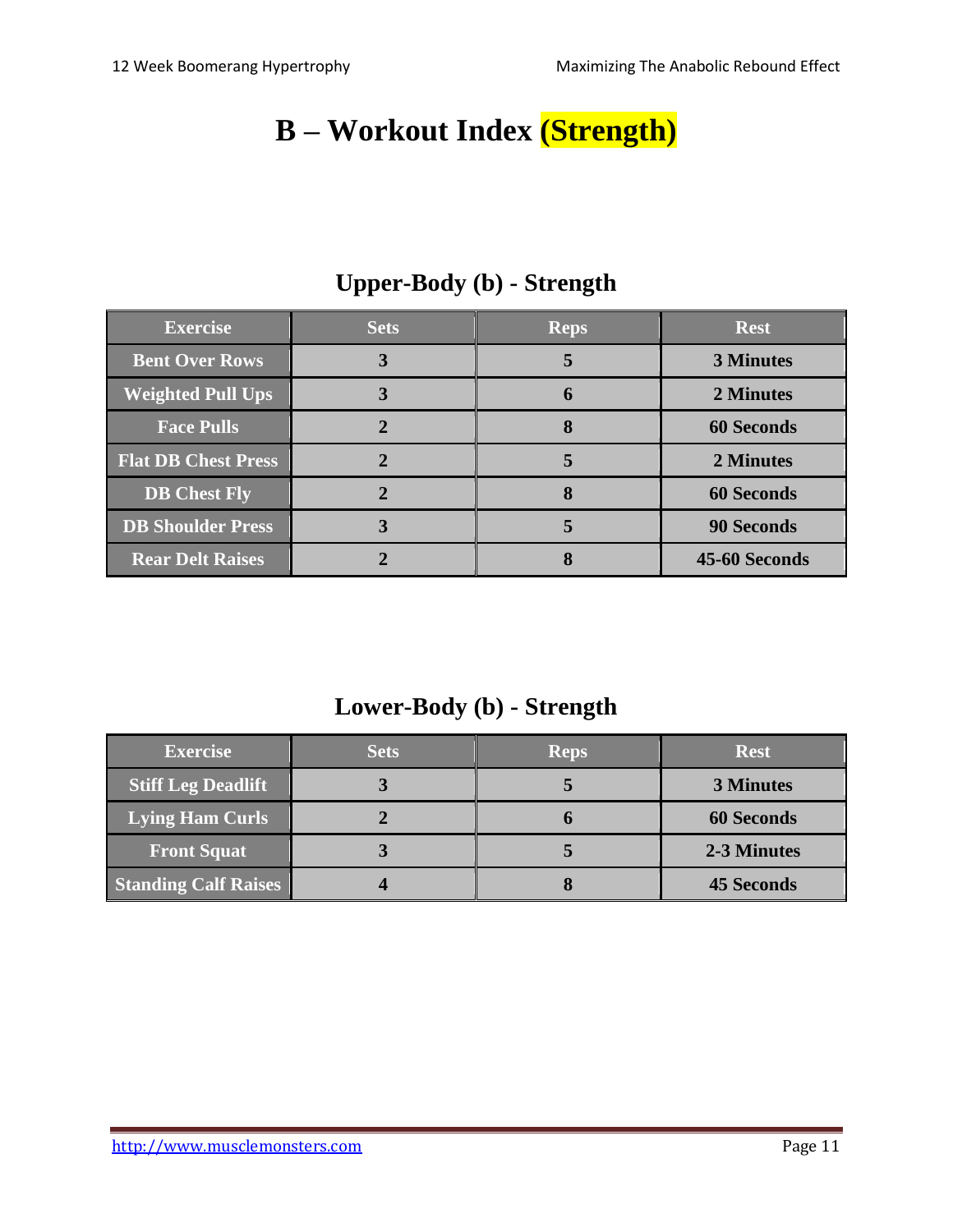# **B – Workout Index (Strength)**

| <b>Exercise</b>            | <b>Sets</b> | <b>Reps</b> | <b>Rest</b>       |
|----------------------------|-------------|-------------|-------------------|
| <b>Bent Over Rows</b>      |             | 5           | <b>3 Minutes</b>  |
| <b>Weighted Pull Ups</b>   |             | h           | 2 Minutes         |
| <b>Face Pulls</b>          |             | 8           | <b>60 Seconds</b> |
| <b>Flat DB Chest Press</b> |             | 5           | 2 Minutes         |
| <b>DB</b> Chest Fly        |             |             | <b>60 Seconds</b> |
| <b>DB Shoulder Press</b>   |             |             | <b>90 Seconds</b> |
| <b>Rear Delt Raises</b>    |             |             | 45-60 Seconds     |

## **Upper-Body (b) - Strength**

#### **Lower-Body (b) - Strength**

| <b>Exercise</b>             | <b>Sets</b> | <b>Reps</b> | <b>Rest</b>       |
|-----------------------------|-------------|-------------|-------------------|
| <b>Stiff Leg Deadlift</b>   |             |             | <b>3 Minutes</b>  |
| <b>Lying Ham Curls</b>      |             |             | <b>60 Seconds</b> |
| <b>Front Squat</b>          |             |             | 2-3 Minutes       |
| <b>Standing Calf Raises</b> |             |             | <b>45 Seconds</b> |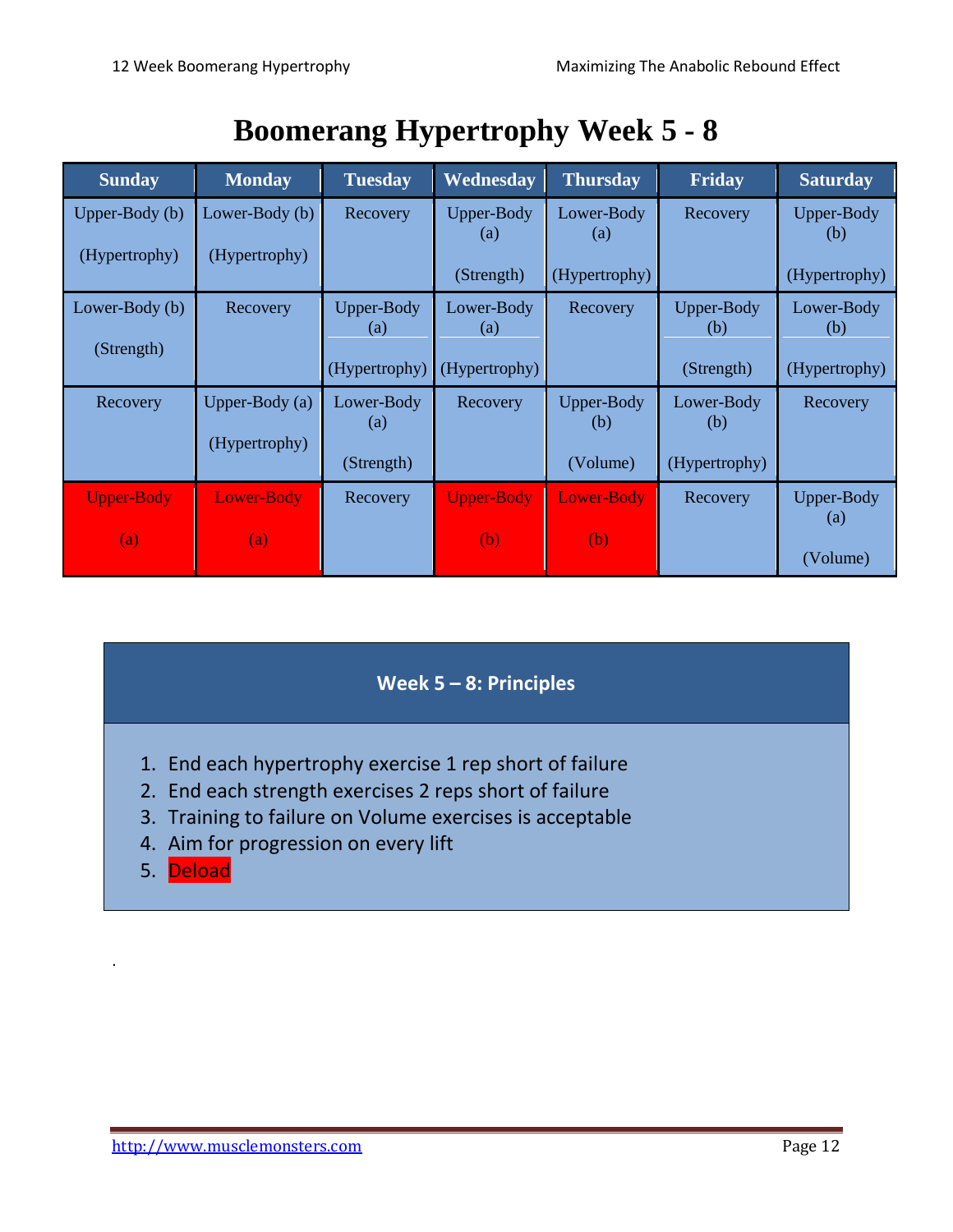|  | <b>Boomerang Hypertrophy Week 5 - 8</b> |  |
|--|-----------------------------------------|--|
|--|-----------------------------------------|--|

| <b>Sunday</b>     | <b>Monday</b>    | <b>Tuesday</b>                  | Wednesday         | <b>Thursday</b>   | Friday            | <b>Saturday</b>          |
|-------------------|------------------|---------------------------------|-------------------|-------------------|-------------------|--------------------------|
| Upper-Body $(b)$  | Lower-Body (b)   | Recovery                        | Upper-Body<br>(a) | Lower-Body<br>(a) | Recovery          | <b>Upper-Body</b><br>(b) |
| (Hypertrophy)     | (Hypertrophy)    |                                 | (Strength)        | (Hypertrophy)     |                   | (Hypertrophy)            |
| Lower-Body (b)    | Recovery         | Upper-Body<br>(a)               | Lower-Body<br>(a) | Recovery          | Upper-Body<br>(b) | Lower-Body<br>(b)        |
| (Strength)        |                  | (Hypertrophy)                   | (Hypertrophy)     |                   | (Strength)        | (Hypertrophy)            |
| Recovery          | Upper-Body $(a)$ | Lower-Body<br>$\left( a\right)$ | Recovery          | Upper-Body<br>(b) | Lower-Body<br>(b) | Recovery                 |
|                   | (Hypertrophy)    | (Strength)                      |                   | (Volume)          | (Hypertrophy)     |                          |
| <b>Upper-Body</b> | Lower-Body       | Recovery                        | <b>Upper-Body</b> | <b>Lower-Body</b> | Recovery          | Upper-Body<br>(a)        |
| $\left( a\right)$ | (a)              |                                 | (b)               | (b)               |                   | (Volume)                 |

#### **Week 5 – 8: Principles**

- 1. End each hypertrophy exercise 1 rep short of failure
- 2. End each strength exercises 2 reps short of failure
- 3. Training to failure on Volume exercises is acceptable
- 4. Aim for progression on every lift
- 5. Deload

.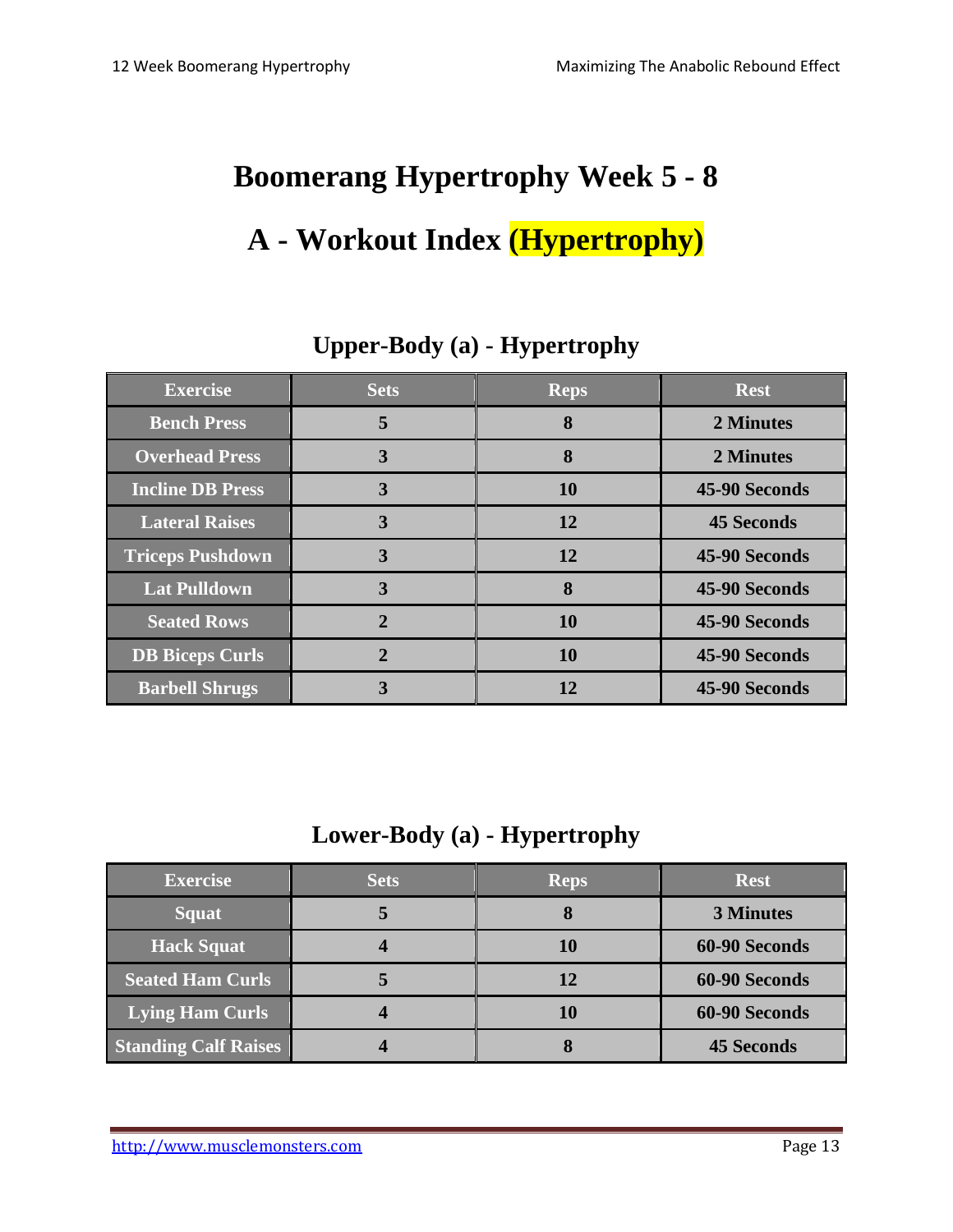# **Boomerang Hypertrophy Week 5 - 8**

# **A - Workout Index (Hypertrophy)**

| <b>Exercise</b>         | <b>Sets</b>    | <b>Reps</b> | <b>Rest</b>       |
|-------------------------|----------------|-------------|-------------------|
| <b>Bench Press</b>      | 5              | 8           | 2 Minutes         |
| <b>Overhead Press</b>   | 3              | 8           | 2 Minutes         |
| <b>Incline DB Press</b> | 3              | <b>10</b>   | 45-90 Seconds     |
| <b>Lateral Raises</b>   | $\overline{3}$ | 12          | <b>45 Seconds</b> |
| <b>Triceps Pushdown</b> | 3              | 12          | 45-90 Seconds     |
| <b>Lat Pulldown</b>     | 3              | 8           | 45-90 Seconds     |
| <b>Seated Rows</b>      | $\overline{2}$ | <b>10</b>   | 45-90 Seconds     |
| <b>DB Biceps Curls</b>  | 2              | <b>10</b>   | 45-90 Seconds     |
| <b>Barbell Shrugs</b>   | 3              | 12          | 45-90 Seconds     |

#### **Upper-Body (a) - Hypertrophy**

#### **Lower-Body (a) - Hypertrophy**

| <b>Exercise</b>             | <b>Sets</b> | <b>Reps</b> | <b>Rest</b>       |
|-----------------------------|-------------|-------------|-------------------|
| <b>Squat</b>                |             |             | <b>3 Minutes</b>  |
| <b>Hack Squat</b>           |             | 10          | 60-90 Seconds     |
| <b>Seated Ham Curls</b>     |             | 12          | 60-90 Seconds     |
| <b>Lying Ham Curls</b>      |             | 10          | 60-90 Seconds     |
| <b>Standing Calf Raises</b> |             | О           | <b>45 Seconds</b> |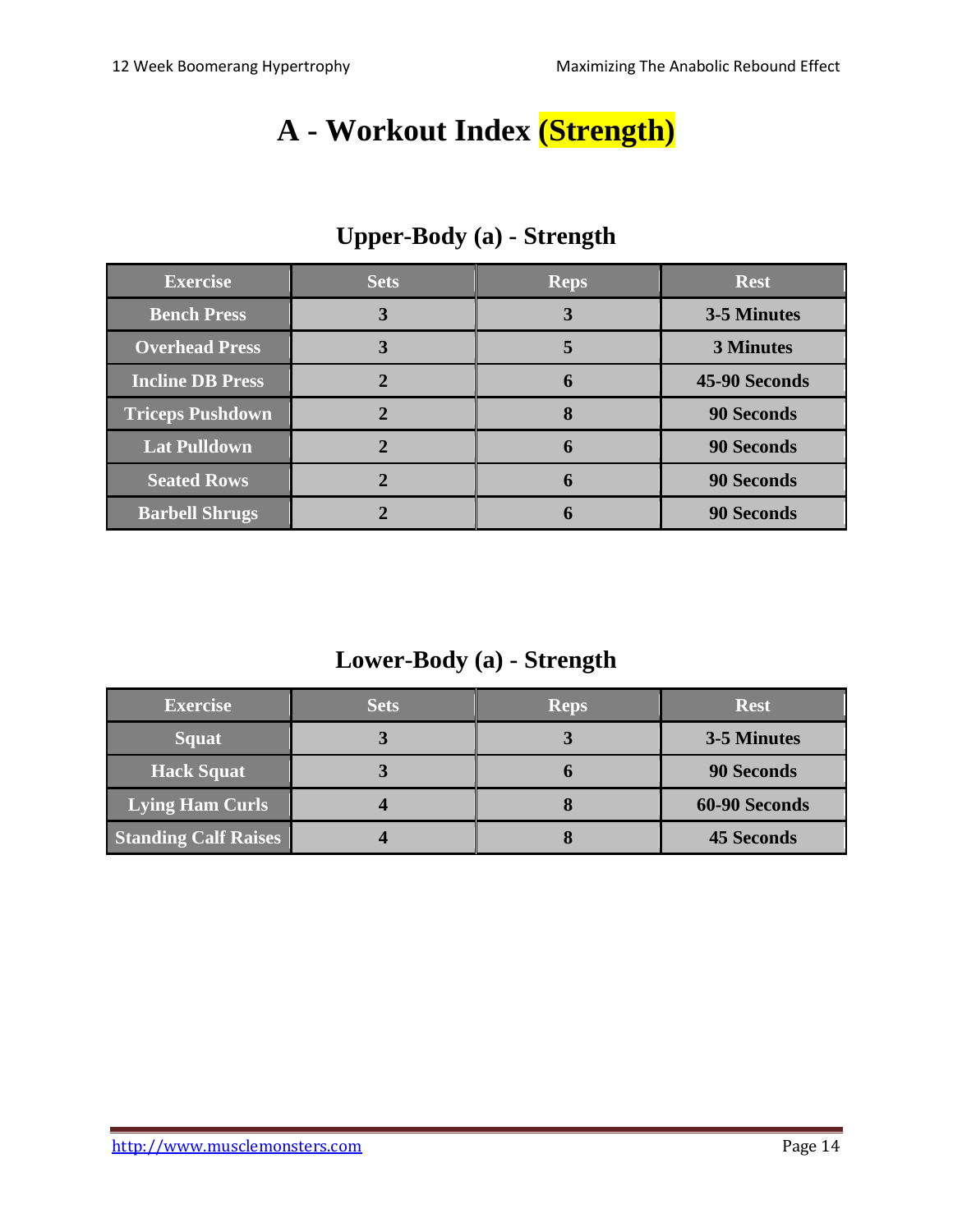## **A - Workout Index (Strength)**

| <b>Exercise</b>         | <b>Sets</b> | <b>Reps</b> | <b>Rest</b>       |
|-------------------------|-------------|-------------|-------------------|
| <b>Bench Press</b>      |             | 3           | 3-5 Minutes       |
| <b>Overhead Press</b>   |             | 5           | <b>3 Minutes</b>  |
| <b>Incline DB Press</b> |             | 6           | 45-90 Seconds     |
| <b>Triceps Pushdown</b> |             | 8           | <b>90 Seconds</b> |
| <b>Lat Pulldown</b>     |             | 6           | <b>90 Seconds</b> |
| <b>Seated Rows</b>      |             | 6           | <b>90 Seconds</b> |
| <b>Barbell Shrugs</b>   |             |             | <b>90 Seconds</b> |

## **Upper-Body (a) - Strength**

**Lower-Body (a) - Strength**

| <b>Exercise</b>             | <b>Sets</b> | <b>Reps</b> | <b>Rest</b>       |
|-----------------------------|-------------|-------------|-------------------|
| <b>Squat</b>                |             | J.          | 3-5 Minutes       |
| <b>Hack Squat</b>           |             | O           | 90 Seconds        |
| <b>Lying Ham Curls</b>      |             |             | 60-90 Seconds     |
| <b>Standing Calf Raises</b> |             |             | <b>45 Seconds</b> |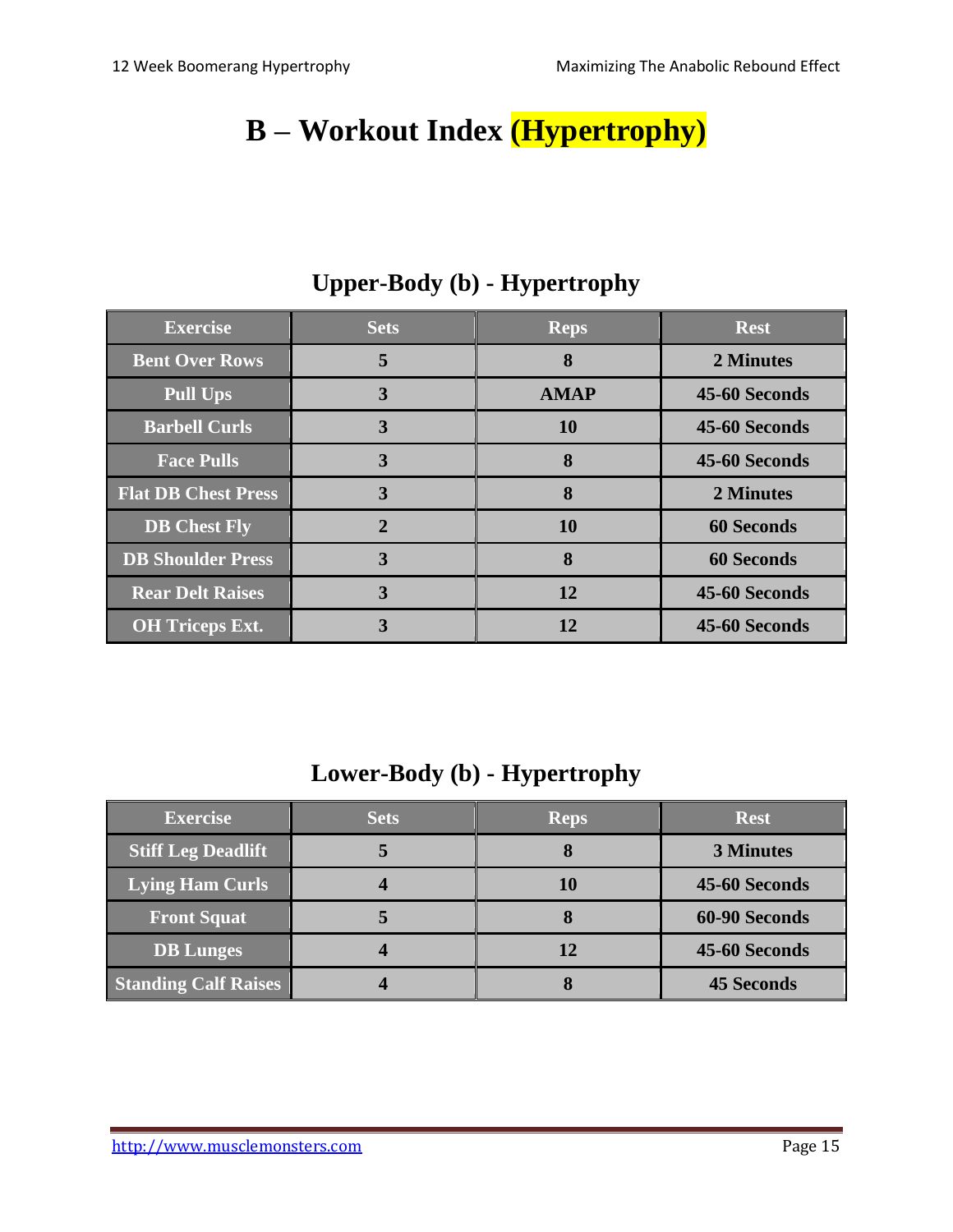# **B – Workout Index (Hypertrophy)**

| <b>Exercise</b>            | <b>Sets</b>  | <b>Reps</b> | <b>Rest</b>       |
|----------------------------|--------------|-------------|-------------------|
| <b>Bent Over Rows</b>      | 5            | 8           | 2 Minutes         |
| <b>Pull Ups</b>            | 3            | <b>AMAP</b> | 45-60 Seconds     |
| <b>Barbell Curls</b>       | 3            | <b>10</b>   | 45-60 Seconds     |
| <b>Face Pulls</b>          | 3            | 8           | 45-60 Seconds     |
| <b>Flat DB Chest Press</b> | 3            | 8           | 2 Minutes         |
| <b>DB</b> Chest Fly        | $\mathbf{2}$ | <b>10</b>   | <b>60 Seconds</b> |
| <b>DB Shoulder Press</b>   | 3            | 8           | <b>60 Seconds</b> |
| <b>Rear Delt Raises</b>    | 3            | 12          | 45-60 Seconds     |
| <b>OH</b> Triceps Ext.     | 3            | 12          | 45-60 Seconds     |

## **Upper-Body (b) - Hypertrophy**

#### **Lower-Body (b) - Hypertrophy**

| <b>Exercise</b>             | <b>Sets</b> | <b>Reps</b> | <b>Rest</b>       |
|-----------------------------|-------------|-------------|-------------------|
| <b>Stiff Leg Deadlift</b>   |             | O           | <b>3 Minutes</b>  |
| Lying Ham Curls             |             | 10          | 45-60 Seconds     |
| <b>Front Squat</b>          |             |             | 60-90 Seconds     |
| <b>DB</b> Lunges            |             | 12          | 45-60 Seconds     |
| <b>Standing Calf Raises</b> |             | O           | <b>45 Seconds</b> |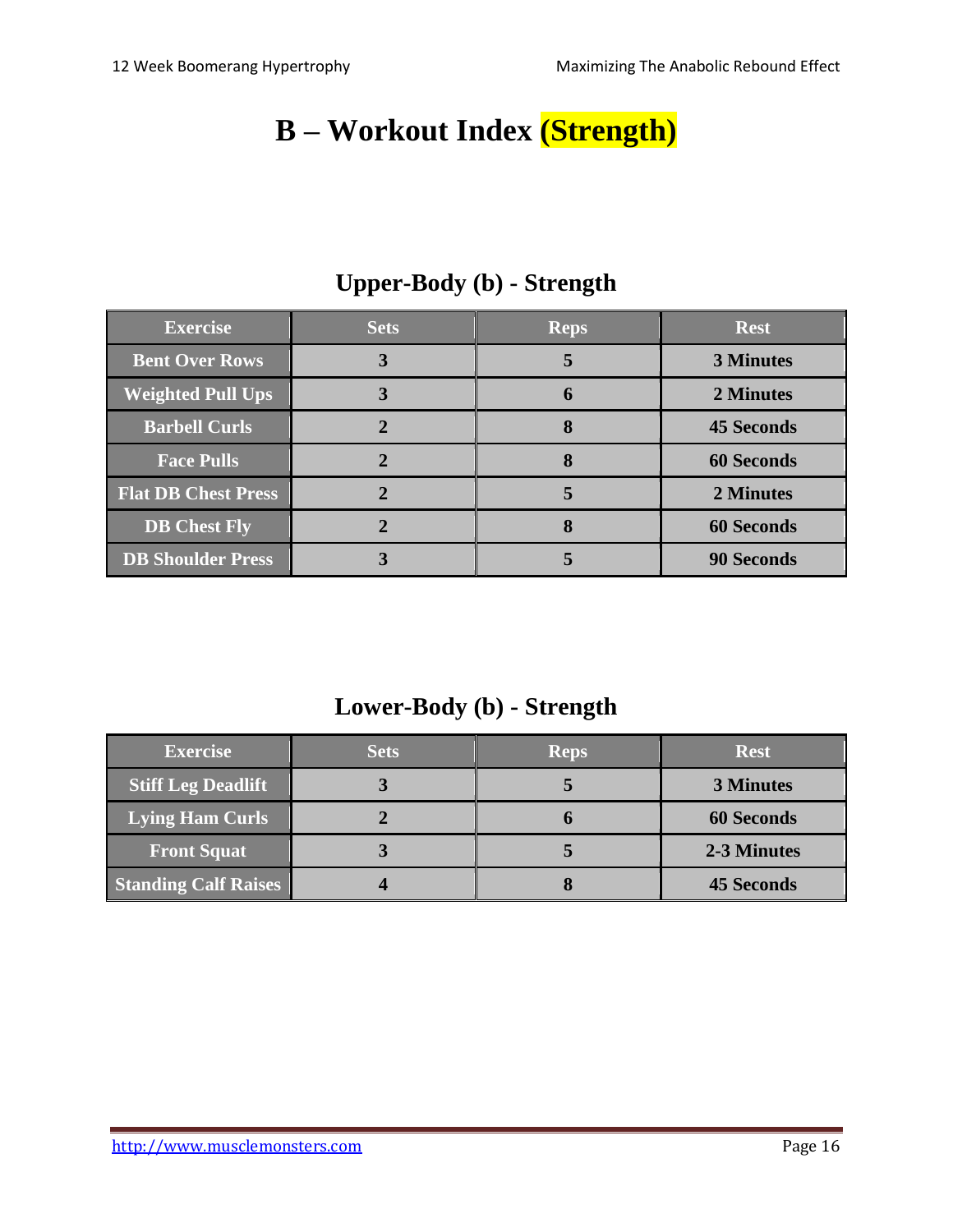# **B – Workout Index (Strength)**

| <b>Exercise</b>            | <b>Sets</b> | <b>Reps</b> | <b>Rest</b>       |
|----------------------------|-------------|-------------|-------------------|
| <b>Bent Over Rows</b>      |             | 5           | <b>3 Minutes</b>  |
| <b>Weighted Pull Ups</b>   |             | h           | 2 Minutes         |
| <b>Barbell Curls</b>       |             | 8           | <b>45 Seconds</b> |
| <b>Face Pulls</b>          |             |             | <b>60 Seconds</b> |
| <b>Flat DB Chest Press</b> |             |             | 2 Minutes         |
| <b>DB</b> Chest Fly        |             |             | <b>60 Seconds</b> |
| <b>DB Shoulder Press</b>   |             |             | <b>90 Seconds</b> |

## **Upper-Body (b) - Strength**

#### **Lower-Body (b) - Strength**

| <b>Exercise</b>             | <b>Sets</b> | <b>Reps</b> | <b>Rest</b>       |
|-----------------------------|-------------|-------------|-------------------|
| <b>Stiff Leg Deadlift</b>   |             |             | <b>3 Minutes</b>  |
| <b>Lying Ham Curls</b>      |             |             | <b>60 Seconds</b> |
| <b>Front Squat</b>          |             |             | 2-3 Minutes       |
| <b>Standing Calf Raises</b> |             |             | <b>45 Seconds</b> |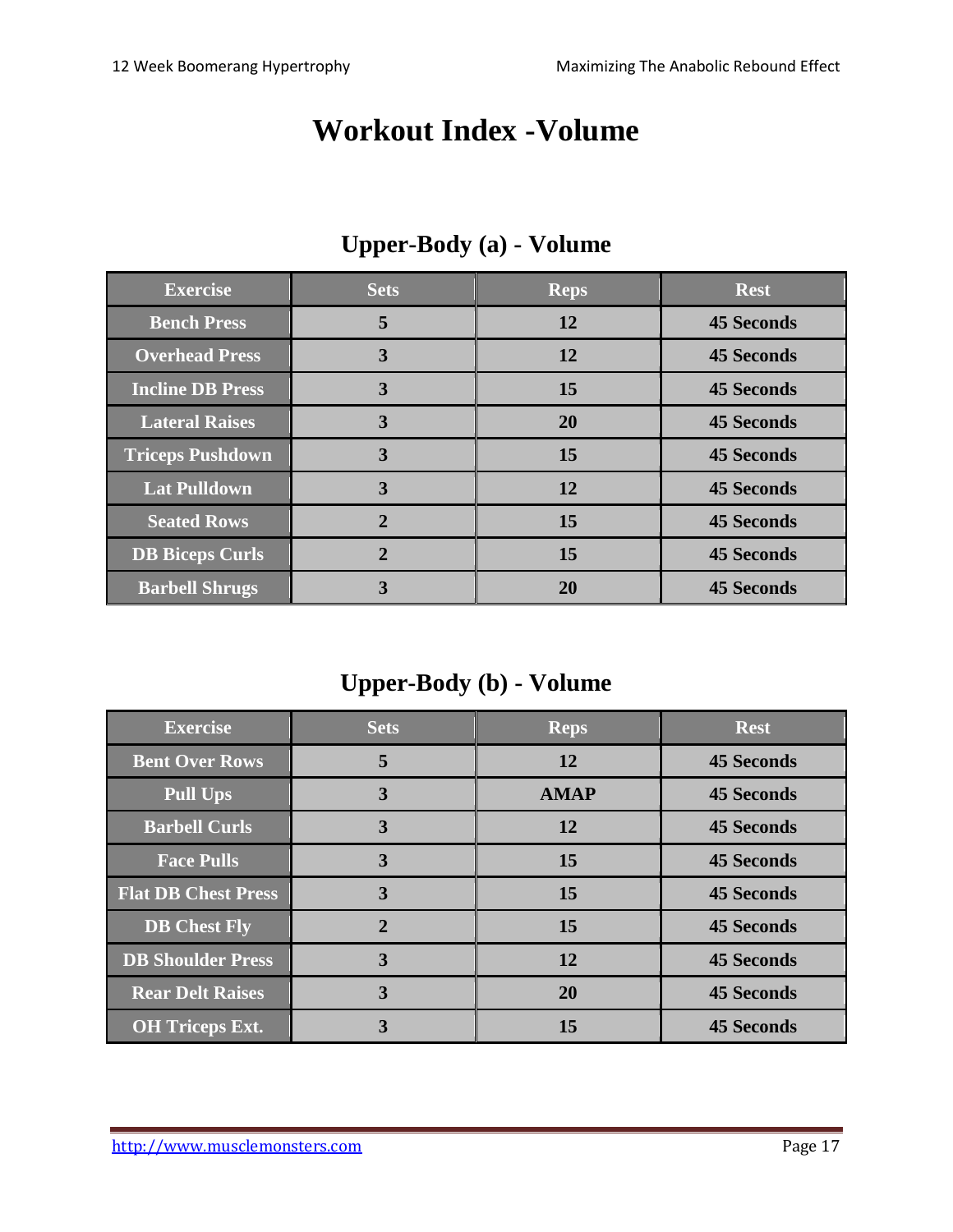## **Workout Index -Volume**

| <b>Exercise</b>         | <b>Sets</b>    | <b>Reps</b> | <b>Rest</b>       |
|-------------------------|----------------|-------------|-------------------|
| <b>Bench Press</b>      | 5              | 12          | <b>45 Seconds</b> |
| <b>Overhead Press</b>   | 3              | 12          | <b>45 Seconds</b> |
| <b>Incline DB Press</b> | 3              | 15          | <b>45 Seconds</b> |
| <b>Lateral Raises</b>   | 3              | <b>20</b>   | <b>45 Seconds</b> |
| <b>Triceps Pushdown</b> | 3              | 15          | <b>45 Seconds</b> |
| <b>Lat Pulldown</b>     | 3              | <b>12</b>   | <b>45 Seconds</b> |
| <b>Seated Rows</b>      | $\mathfrak{D}$ | 15          | <b>45 Seconds</b> |
| <b>DB</b> Biceps Curls  | 2              | 15          | <b>45 Seconds</b> |
| <b>Barbell Shrugs</b>   | 3              | 20          | <b>45 Seconds</b> |

## **Upper-Body (a) - Volume**

## **Upper-Body (b) - Volume**

| <b>Exercise</b>            | <b>Sets</b>    | <b>Reps</b> | <b>Rest</b>       |
|----------------------------|----------------|-------------|-------------------|
| <b>Bent Over Rows</b>      | 5              | 12          | <b>45 Seconds</b> |
| <b>Pull Ups</b>            | 3              | <b>AMAP</b> | <b>45 Seconds</b> |
| <b>Barbell Curls</b>       | 3              | 12          | <b>45 Seconds</b> |
| <b>Face Pulls</b>          | 3              | 15          | <b>45 Seconds</b> |
| <b>Flat DB Chest Press</b> | 3              | 15          | <b>45 Seconds</b> |
| <b>DB</b> Chest Fly        | $\overline{2}$ | 15          | <b>45 Seconds</b> |
| <b>DB Shoulder Press</b>   | 3              | 12          | <b>45 Seconds</b> |
| <b>Rear Delt Raises</b>    | 3              | <b>20</b>   | <b>45 Seconds</b> |
| <b>OH Triceps Ext.</b>     | 3              | 15          | <b>45 Seconds</b> |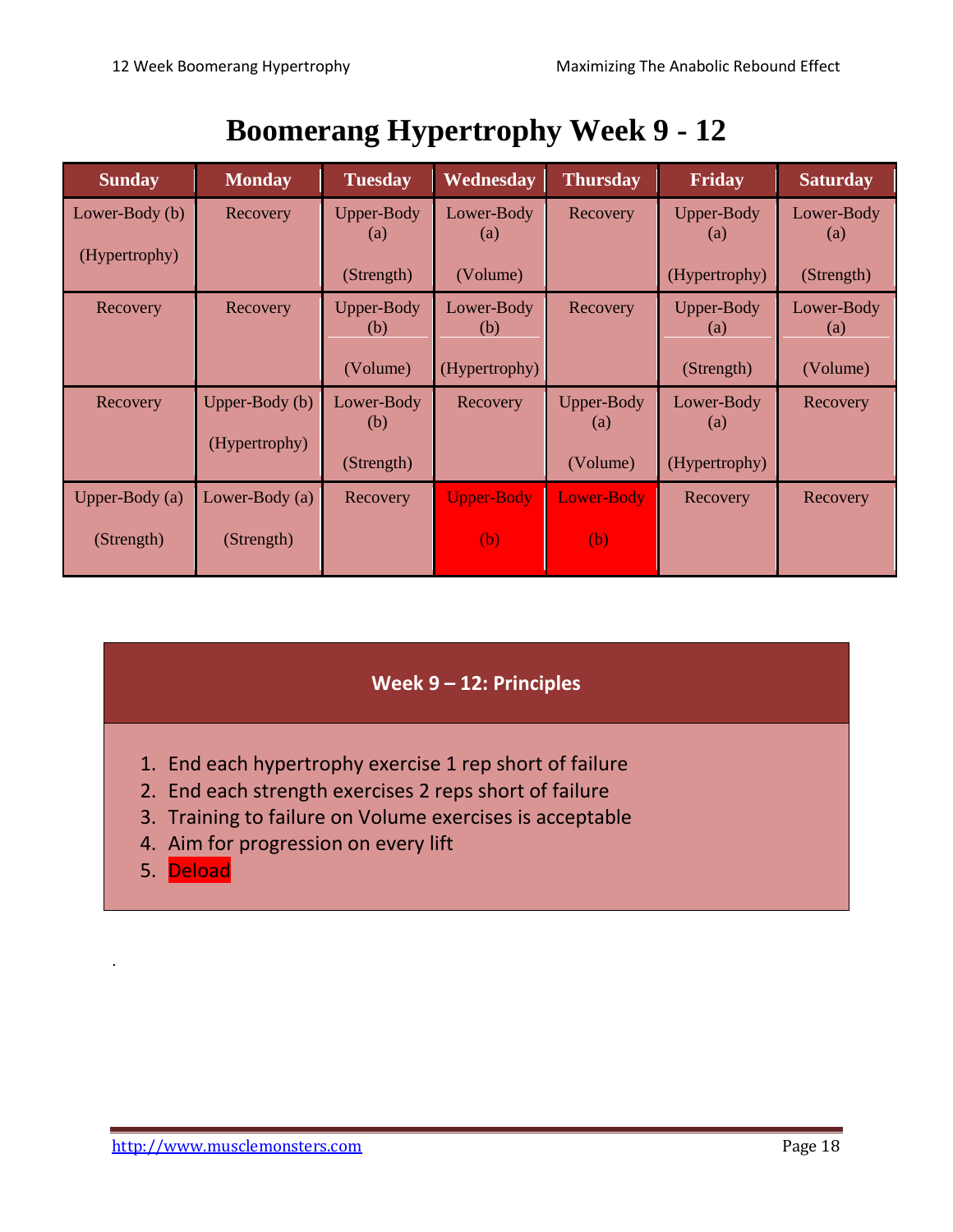# **Boomerang Hypertrophy Week 9 - 12**

| <b>Sunday</b>    | <b>Monday</b>  | <b>Tuesday</b>                  | Wednesday         | <b>Thursday</b>          | Friday            | <b>Saturday</b>   |
|------------------|----------------|---------------------------------|-------------------|--------------------------|-------------------|-------------------|
| Lower-Body (b)   | Recovery       | Upper-Body<br>$\left( a\right)$ | Lower-Body<br>(a) | Recovery                 | Upper-Body<br>(a) | Lower-Body        |
| (Hypertrophy)    |                |                                 |                   |                          |                   | $\left( a\right)$ |
|                  |                | (Strength)                      | (Volume)          |                          | (Hypertrophy)     | (Strength)        |
| Recovery         | Recovery       | Upper-Body<br>(b)               | Lower-Body<br>(b) | Recovery                 | Upper-Body<br>(a) | Lower-Body<br>(a) |
|                  |                | (Volume)                        | (Hypertrophy)     |                          | (Strength)        | (Volume)          |
| Recovery         | Upper-Body (b) | Lower-Body<br>(b)               | Recovery          | <b>Upper-Body</b><br>(a) | Lower-Body<br>(a) | Recovery          |
|                  | (Hypertrophy)  |                                 |                   |                          |                   |                   |
|                  |                | (Strength)                      |                   | (Volume)                 | (Hypertrophy)     |                   |
| Upper-Body $(a)$ | Lower-Body (a) | Recovery                        | <b>Upper-Body</b> | <b>Lower-Body</b>        | Recovery          | Recovery          |
| (Strength)       | (Strength)     |                                 | (b)               | (b)                      |                   |                   |

#### **Week 9 – 12: Principles**

- 1. End each hypertrophy exercise 1 rep short of failure
- 2. End each strength exercises 2 reps short of failure
- 3. Training to failure on Volume exercises is acceptable
- 4. Aim for progression on every lift
- 5. Deload

.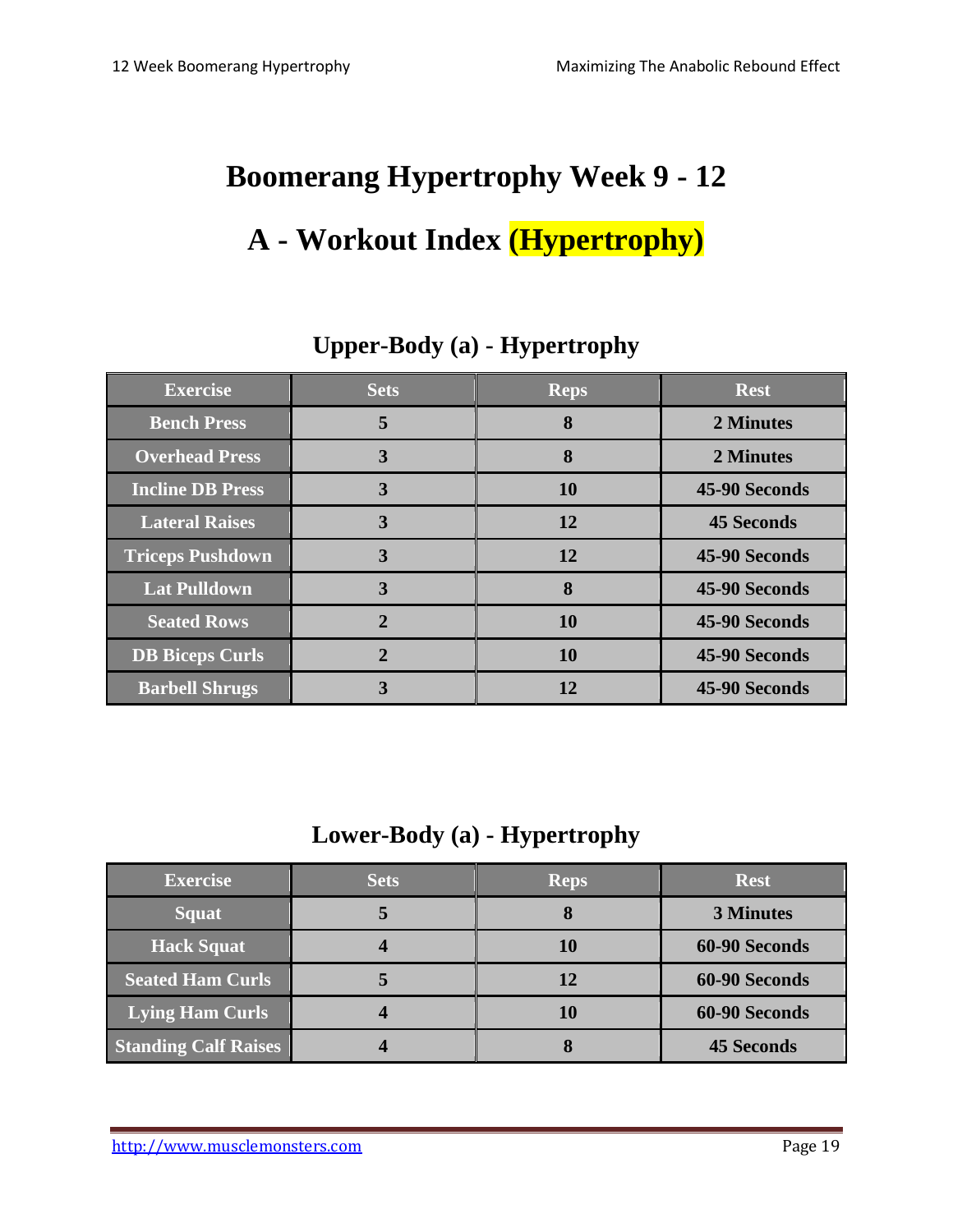# **Boomerang Hypertrophy Week 9 - 12**

# **A - Workout Index (Hypertrophy)**

| <b>Exercise</b>         | <b>Sets</b>    | <b>Reps</b> | <b>Rest</b>       |
|-------------------------|----------------|-------------|-------------------|
| <b>Bench Press</b>      | 5              | 8           | 2 Minutes         |
| <b>Overhead Press</b>   | 3              | 8           | 2 Minutes         |
| <b>Incline DB Press</b> | 3              | 10          | 45-90 Seconds     |
| <b>Lateral Raises</b>   | 3              | 12          | <b>45 Seconds</b> |
| <b>Triceps Pushdown</b> | 3              | 12          | 45-90 Seconds     |
| <b>Lat Pulldown</b>     | 3              | 8           | 45-90 Seconds     |
| <b>Seated Rows</b>      | $\overline{2}$ | 10          | 45-90 Seconds     |
| <b>DB Biceps Curls</b>  |                | <b>10</b>   | 45-90 Seconds     |
| <b>Barbell Shrugs</b>   | 3              | 12          | 45-90 Seconds     |

#### **Upper-Body (a) - Hypertrophy**

#### **Lower-Body (a) - Hypertrophy**

| <b>Exercise</b>             | <b>Sets</b> | <b>Reps</b> | <b>Rest</b>       |
|-----------------------------|-------------|-------------|-------------------|
| <b>Squat</b>                |             |             | <b>3 Minutes</b>  |
| <b>Hack Squat</b>           |             | 10          | 60-90 Seconds     |
| <b>Seated Ham Curls</b>     |             | 12          | 60-90 Seconds     |
| <b>Lying Ham Curls</b>      |             | 10          | 60-90 Seconds     |
| <b>Standing Calf Raises</b> |             | О           | <b>45 Seconds</b> |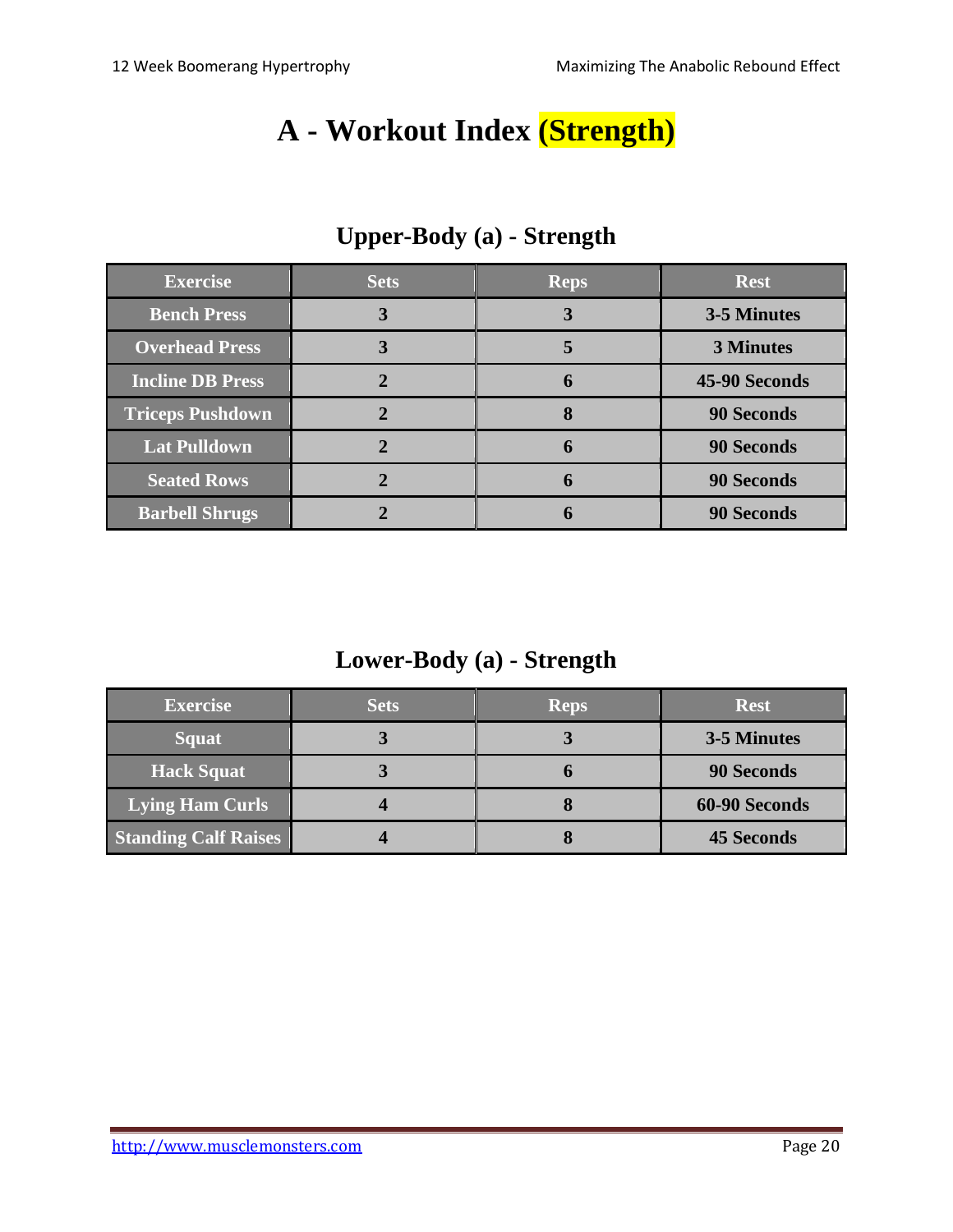## **A - Workout Index (Strength)**

| <b>Exercise</b>         | <b>Sets</b> | <b>Reps</b> | <b>Rest</b>       |
|-------------------------|-------------|-------------|-------------------|
| <b>Bench Press</b>      | 3           | 3           | 3-5 Minutes       |
| <b>Overhead Press</b>   |             |             | <b>3 Minutes</b>  |
| <b>Incline DB Press</b> |             | 6           | 45-90 Seconds     |
| <b>Triceps Pushdown</b> |             | 8           | <b>90 Seconds</b> |
| <b>Lat Pulldown</b>     |             | 6           | <b>90 Seconds</b> |
| <b>Seated Rows</b>      |             | 6           | <b>90 Seconds</b> |
| <b>Barbell Shrugs</b>   |             |             | <b>90 Seconds</b> |

## **Upper-Body (a) - Strength**

#### **Lower-Body (a) - Strength**

| <b>Exercise</b>             | <b>Sets</b> | <b>Reps</b> | <b>Rest</b>       |
|-----------------------------|-------------|-------------|-------------------|
| <b>Squat</b>                |             | J           | 3-5 Minutes       |
| <b>Hack Squat</b>           |             | O           | <b>90 Seconds</b> |
| <b>Lying Ham Curls</b>      |             |             | 60-90 Seconds     |
| <b>Standing Calf Raises</b> |             |             | <b>45 Seconds</b> |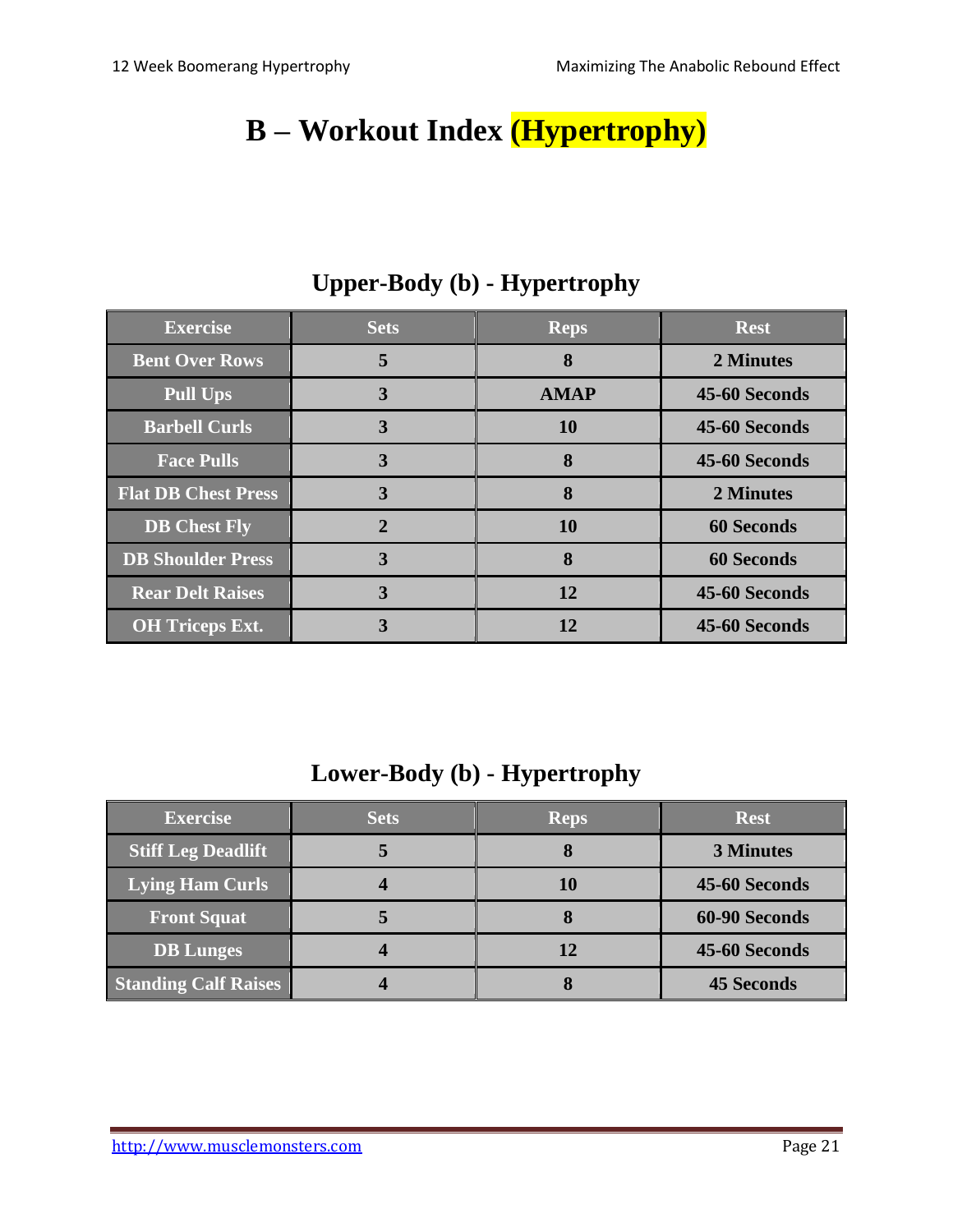# **B – Workout Index (Hypertrophy)**

| <b>Exercise</b>            | <b>Sets</b>  | <b>Reps</b> | <b>Rest</b>       |
|----------------------------|--------------|-------------|-------------------|
| <b>Bent Over Rows</b>      | 5            | 8           | 2 Minutes         |
| <b>Pull Ups</b>            | 3            | <b>AMAP</b> | 45-60 Seconds     |
| <b>Barbell Curls</b>       | 3            | <b>10</b>   | 45-60 Seconds     |
| <b>Face Pulls</b>          | 3            | 8           | 45-60 Seconds     |
| <b>Flat DB Chest Press</b> | 3            | 8           | 2 Minutes         |
| <b>DB</b> Chest Fly        | $\mathbf{2}$ | <b>10</b>   | <b>60 Seconds</b> |
| <b>DB Shoulder Press</b>   | 3            | 8           | <b>60 Seconds</b> |
| <b>Rear Delt Raises</b>    | 3            | 12          | 45-60 Seconds     |
| <b>OH</b> Triceps Ext.     | 3            | 12          | 45-60 Seconds     |

## **Upper-Body (b) - Hypertrophy**

#### **Lower-Body (b) - Hypertrophy**

| <b>Exercise</b>             | <b>Sets</b> | <b>Reps</b> | <b>Rest</b>       |
|-----------------------------|-------------|-------------|-------------------|
| <b>Stiff Leg Deadlift</b>   |             | O           | <b>3 Minutes</b>  |
| Lying Ham Curls             |             | 10          | 45-60 Seconds     |
| <b>Front Squat</b>          |             |             | 60-90 Seconds     |
| <b>DB</b> Lunges            |             | 12          | 45-60 Seconds     |
| <b>Standing Calf Raises</b> |             | O           | <b>45 Seconds</b> |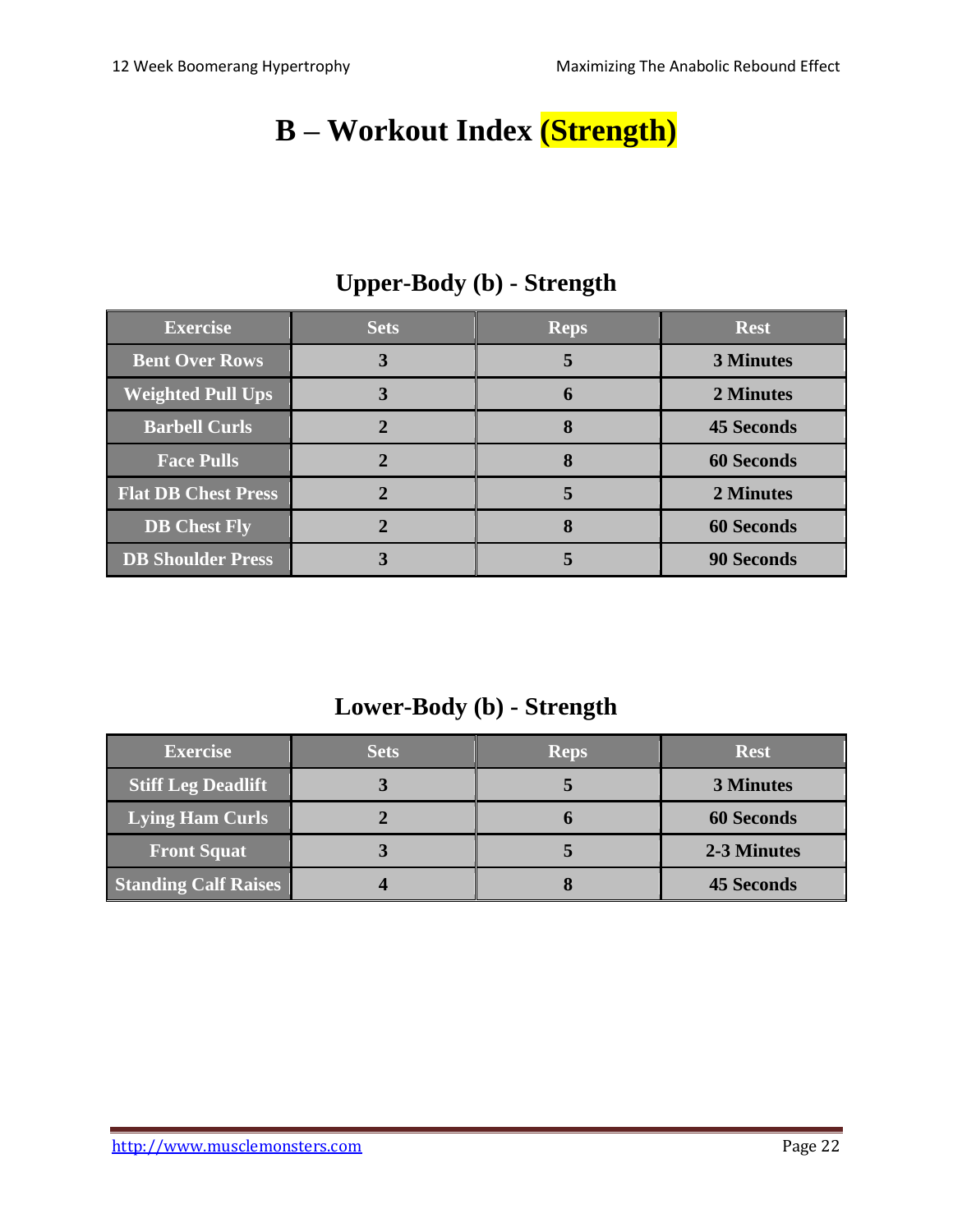# **B – Workout Index (Strength)**

| <b>Exercise</b>            | <b>Sets</b> | <b>Reps</b> | <b>Rest</b>       |
|----------------------------|-------------|-------------|-------------------|
| <b>Bent Over Rows</b>      |             | 5           | <b>3 Minutes</b>  |
| <b>Weighted Pull Ups</b>   |             | h           | 2 Minutes         |
| <b>Barbell Curls</b>       |             | 8           | <b>45 Seconds</b> |
| <b>Face Pulls</b>          |             |             | <b>60 Seconds</b> |
| <b>Flat DB Chest Press</b> |             |             | 2 Minutes         |
| <b>DB</b> Chest Fly        |             |             | <b>60 Seconds</b> |
| <b>DB Shoulder Press</b>   |             |             | <b>90 Seconds</b> |

## **Upper-Body (b) - Strength**

#### **Lower-Body (b) - Strength**

| <b>Exercise</b>             | <b>Sets</b> | <b>Reps</b> | <b>Rest</b>       |
|-----------------------------|-------------|-------------|-------------------|
| <b>Stiff Leg Deadlift</b>   |             |             | <b>3 Minutes</b>  |
| <b>Lying Ham Curls</b>      |             |             | <b>60 Seconds</b> |
| <b>Front Squat</b>          |             |             | 2-3 Minutes       |
| <b>Standing Calf Raises</b> |             |             | <b>45 Seconds</b> |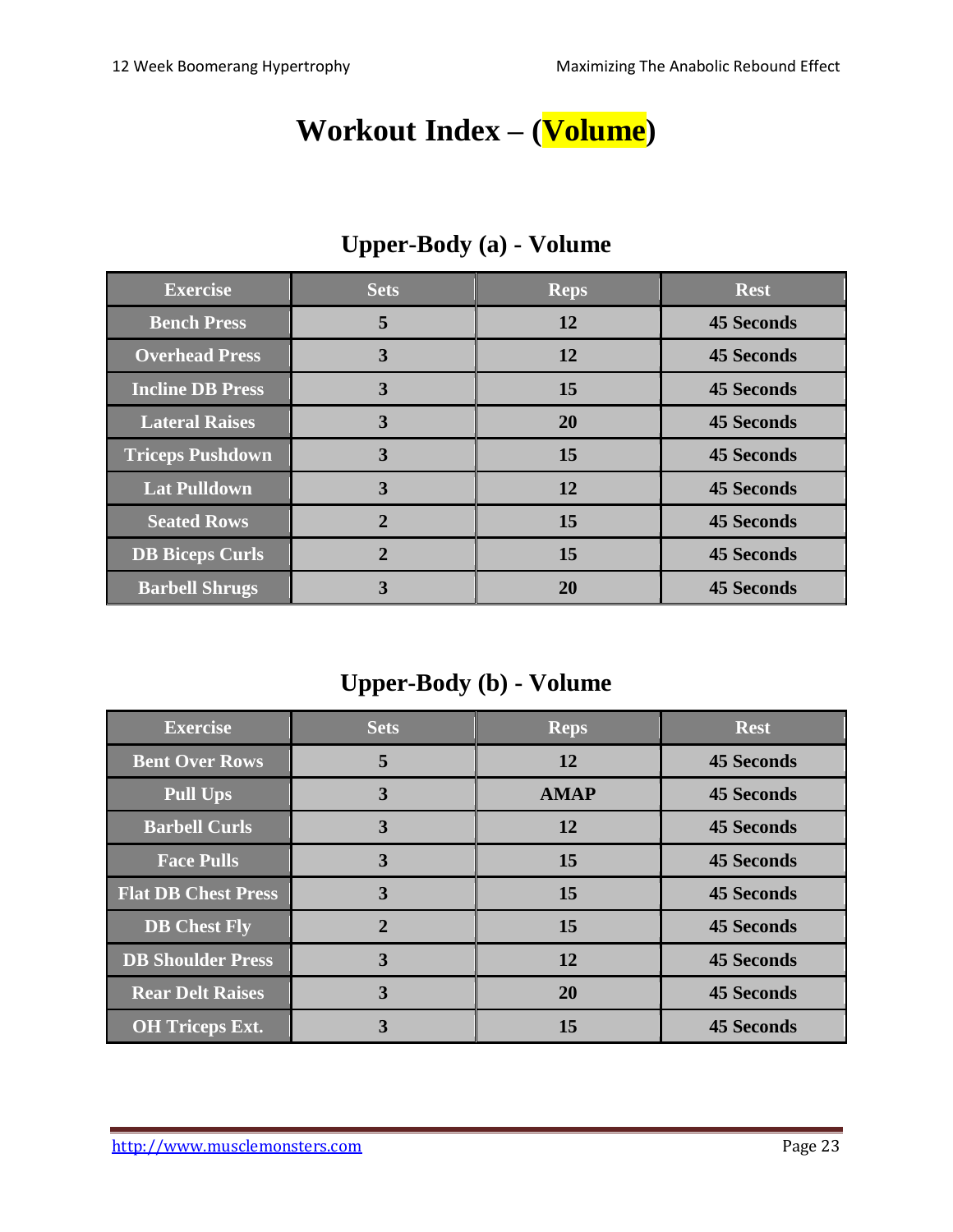## **Workout Index – (Volume)**

| <b>Exercise</b>         | <b>Sets</b>    | <b>Reps</b> | <b>Rest</b>       |
|-------------------------|----------------|-------------|-------------------|
| <b>Bench Press</b>      | 5              | 12          | <b>45 Seconds</b> |
| <b>Overhead Press</b>   | 3              | 12          | <b>45 Seconds</b> |
| <b>Incline DB Press</b> | 3              | 15          | <b>45 Seconds</b> |
| <b>Lateral Raises</b>   | 3              | <b>20</b>   | <b>45 Seconds</b> |
| <b>Triceps Pushdown</b> | 3              | 15          | <b>45 Seconds</b> |
| <b>Lat Pulldown</b>     | 3              | 12          | <b>45 Seconds</b> |
| <b>Seated Rows</b>      | $\overline{2}$ | 15          | <b>45 Seconds</b> |
| <b>DB Biceps Curls</b>  | $\mathbf 2$    | 15          | <b>45 Seconds</b> |
| <b>Barbell Shrugs</b>   | 3              | 20          | <b>45 Seconds</b> |

## **Upper-Body (a) - Volume**

## **Upper-Body (b) - Volume**

| <b>Exercise</b>            | <b>Sets</b>    | <b>Reps</b> | <b>Rest</b>       |
|----------------------------|----------------|-------------|-------------------|
| <b>Bent Over Rows</b>      | 5              | 12          | <b>45 Seconds</b> |
| <b>Pull Ups</b>            | 3              | <b>AMAP</b> | <b>45 Seconds</b> |
| <b>Barbell Curls</b>       | 3              | 12          | <b>45 Seconds</b> |
| <b>Face Pulls</b>          | 3              | 15          | <b>45 Seconds</b> |
| <b>Flat DB Chest Press</b> | 3              | 15          | <b>45 Seconds</b> |
| <b>DB</b> Chest Fly        | $\overline{2}$ | 15          | <b>45 Seconds</b> |
| <b>DB Shoulder Press</b>   | 3              | 12          | <b>45 Seconds</b> |
| <b>Rear Delt Raises</b>    | 3              | <b>20</b>   | <b>45 Seconds</b> |
| <b>OH Triceps Ext.</b>     | 3              | 15          | <b>45 Seconds</b> |